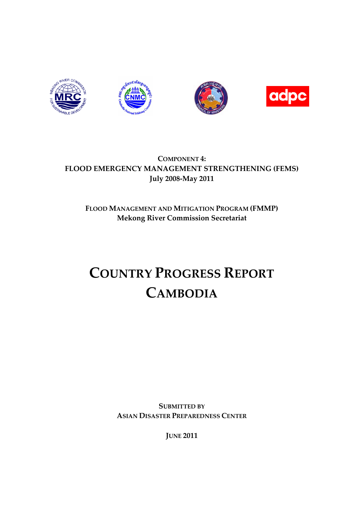







# **COMPONENT 4: FLOOD EMERGENCY MANAGEMENT STRENGTHENING (FEMS) July 2008-May 2011**

# **FLOOD MANAGEMENT AND MITIGATION PROGRAM (FMMP) Mekong River Commission Secretariat**

# **COUNTRY PROGRESS REPORT CAMBODIA**

**SUBMITTED BY ASIAN DISASTER PREPAREDNESS CENTER**

**JUNE 2011**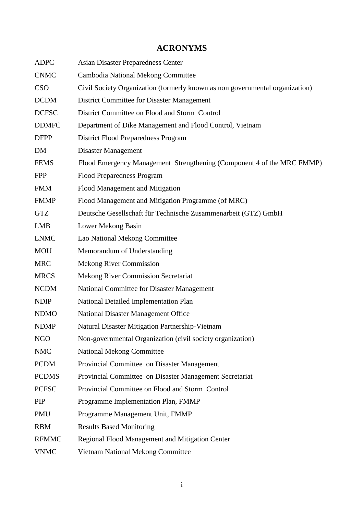| <b>ADPC</b>  | <b>Asian Disaster Preparedness Center</b>                                    |
|--------------|------------------------------------------------------------------------------|
| <b>CNMC</b>  | Cambodia National Mekong Committee                                           |
| <b>CSO</b>   | Civil Society Organization (formerly known as non governmental organization) |
| <b>DCDM</b>  | <b>District Committee for Disaster Management</b>                            |
| <b>DCFSC</b> | District Committee on Flood and Storm Control                                |
| <b>DDMFC</b> | Department of Dike Management and Flood Control, Vietnam                     |
| <b>DFPP</b>  | <b>District Flood Preparedness Program</b>                                   |
| <b>DM</b>    | Disaster Management                                                          |
| <b>FEMS</b>  | Flood Emergency Management Strengthening (Component 4 of the MRC FMMP)       |
| <b>FPP</b>   | Flood Preparedness Program                                                   |
| <b>FMM</b>   | Flood Management and Mitigation                                              |
| <b>FMMP</b>  | Flood Management and Mitigation Programme (of MRC)                           |
| <b>GTZ</b>   | Deutsche Gesellschaft für Technische Zusammenarbeit (GTZ) GmbH               |
| <b>LMB</b>   | Lower Mekong Basin                                                           |
| <b>LNMC</b>  | Lao National Mekong Committee                                                |
| <b>MOU</b>   | Memorandum of Understanding                                                  |
| <b>MRC</b>   | <b>Mekong River Commission</b>                                               |
| <b>MRCS</b>  | <b>Mekong River Commission Secretariat</b>                                   |
| <b>NCDM</b>  | National Committee for Disaster Management                                   |
| <b>NDIP</b>  | National Detailed Implementation Plan                                        |
| <b>NDMO</b>  | National Disaster Management Office                                          |
| <b>NDMP</b>  | Natural Disaster Mitigation Partnership-Vietnam                              |
| <b>NGO</b>   | Non-governmental Organization (civil society organization)                   |
| <b>NMC</b>   | <b>National Mekong Committee</b>                                             |
| <b>PCDM</b>  | Provincial Committee on Disaster Management                                  |
| <b>PCDMS</b> | Provincial Committee on Disaster Management Secretariat                      |
| <b>PCFSC</b> | Provincial Committee on Flood and Storm Control                              |
| PIP          | Programme Implementation Plan, FMMP                                          |
| <b>PMU</b>   | Programme Management Unit, FMMP                                              |
| <b>RBM</b>   | <b>Results Based Monitoring</b>                                              |
| <b>RFMMC</b> | Regional Flood Management and Mitigation Center                              |
| <b>VNMC</b>  | Vietnam National Mekong Committee                                            |

# **ACRONYMS**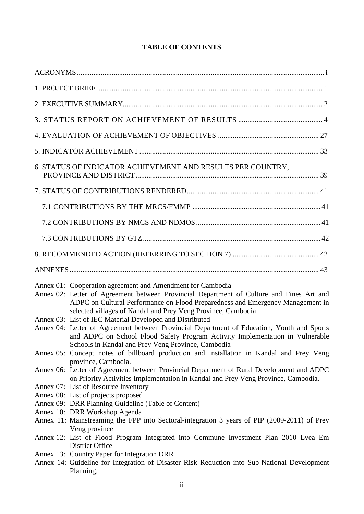# **TABLE OF CONTENTS**

| 6. STATUS OF INDICATOR ACHIEVEMENT AND RESULTS PER COUNTRY,                                                                                                                                                                                                                                              |
|----------------------------------------------------------------------------------------------------------------------------------------------------------------------------------------------------------------------------------------------------------------------------------------------------------|
|                                                                                                                                                                                                                                                                                                          |
|                                                                                                                                                                                                                                                                                                          |
|                                                                                                                                                                                                                                                                                                          |
|                                                                                                                                                                                                                                                                                                          |
|                                                                                                                                                                                                                                                                                                          |
|                                                                                                                                                                                                                                                                                                          |
| Annex 01: Cooperation agreement and Amendment for Cambodia<br>Annex 02: Letter of Agreement between Provincial Department of Culture and Fines Art and<br>ADPC on Cultural Performance on Flood Preparedness and Emergency Management in<br>selected villages of Kandal and Prey Veng Province, Cambodia |
| Annex 03: List of IEC Material Developed and Distributed<br>Annex 04: Letter of Agreement between Provincial Department of Education, Youth and Sports                                                                                                                                                   |
| and ADPC on School Flood Safety Program Activity Implementation in Vulnerable<br>Schools in Kandal and Prey Veng Province, Cambodia                                                                                                                                                                      |
| Annex 05: Concept notes of billboard production and installation in Kandal and Prey Veng<br>province, Cambodia.                                                                                                                                                                                          |
| Annex 06: Letter of Agreement between Provincial Department of Rural Development and ADPC<br>on Priority Activities Implementation in Kandal and Prey Veng Province, Cambodia.                                                                                                                           |
| Annex 07: List of Resource Inventory                                                                                                                                                                                                                                                                     |
| Annex 08: List of projects proposed                                                                                                                                                                                                                                                                      |
| Annex 09: DRR Planning Guideline (Table of Content)                                                                                                                                                                                                                                                      |
| Annex 10: DRR Workshop Agenda                                                                                                                                                                                                                                                                            |
| Annex 11: Mainstreaming the FPP into Sectoral-integration 3 years of PIP (2009-2011) of Prey<br>Veng province                                                                                                                                                                                            |
| Annex 12: List of Flood Program Integrated into Commune Investment Plan 2010 Lvea Em<br>District Office                                                                                                                                                                                                  |
| Annex 13: Country Paper for Integration DRR                                                                                                                                                                                                                                                              |
| Annex 14: Guideline for Integration of Disaster Risk Reduction into Sub-National Development<br>Planning.                                                                                                                                                                                                |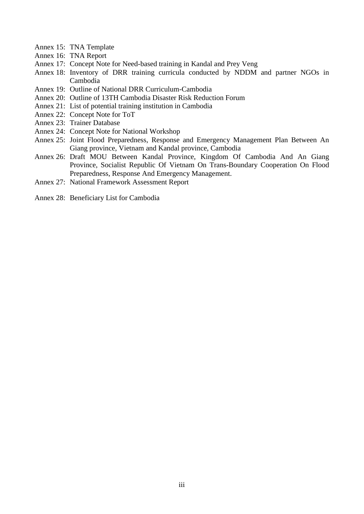- Annex 15: TNA Template
- Annex 16: TNA Report
- Annex 17: Concept Note for Need-based training in Kandal and Prey Veng
- Annex 18: Inventory of DRR training curricula conducted by NDDM and partner NGOs in Cambodia
- Annex 19: Outline of National DRR Curriculum-Cambodia
- Annex 20: Outline of 13TH Cambodia Disaster Risk Reduction Forum
- Annex 21: List of potential training institution in Cambodia
- Annex 22: Concept Note for ToT
- Annex 23: Trainer Database
- Annex 24: Concept Note for National Workshop
- Annex 25: Joint Flood Preparedness, Response and Emergency Management Plan Between An Giang province, Vietnam and Kandal province, Cambodia
- Annex 26: Draft MOU Between Kandal Province, Kingdom Of Cambodia And An Giang Province, Socialist Republic Of Vietnam On Trans-Boundary Cooperation On Flood Preparedness, Response And Emergency Management.
- Annex 27: National Framework Assessment Report
- Annex 28: Beneficiary List for Cambodia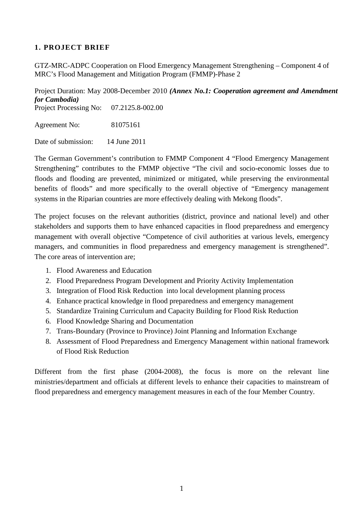# **1. PROJECT BRIEF**

GTZ-MRC-ADPC Cooperation on Flood Emergency Management Strengthening – Component 4 of MRC's Flood Management and Mitigation Program (FMMP)-Phase 2

Project Duration: May 2008-December 2010 *(Annex No.1: Cooperation agreement and Amendment for Cambodia)* Project Processing No: 07.2125.8-002.00 Agreement No: 81075161

Date of submission: 14 June 2011

The German Government's contribution to FMMP Component 4 "Flood Emergency Management Strengthening" contributes to the FMMP objective "The civil and socio-economic losses due to floods and flooding are prevented, minimized or mitigated, while preserving the environmental benefits of floods" and more specifically to the overall objective of "Emergency management systems in the Riparian countries are more effectively dealing with Mekong floods".

The project focuses on the relevant authorities (district, province and national level) and other stakeholders and supports them to have enhanced capacities in flood preparedness and emergency management with overall objective "Competence of civil authorities at various levels, emergency managers, and communities in flood preparedness and emergency management is strengthened". The core areas of intervention are;

- 1. Flood Awareness and Education
- 2. Flood Preparedness Program Development and Priority Activity Implementation
- 3. Integration of Flood Risk Reduction into local development planning process
- 4. Enhance practical knowledge in flood preparedness and emergency management
- 5. Standardize Training Curriculum and Capacity Building for Flood Risk Reduction
- 6. Flood Knowledge Sharing and Documentation
- 7. Trans-Boundary (Province to Province) Joint Planning and Information Exchange
- 8. Assessment of Flood Preparedness and Emergency Management within national framework of Flood Risk Reduction

Different from the first phase (2004-2008), the focus is more on the relevant line ministries/department and officials at different levels to enhance their capacities to mainstream of flood preparedness and emergency management measures in each of the four Member Country.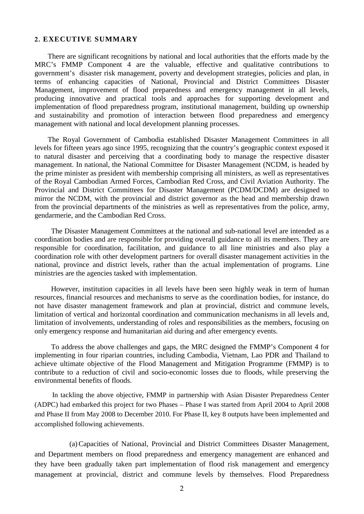#### **2. EXECUTIVE SUMMARY**

There are significant recognitions by national and local authorities that the efforts made by the MRC's FMMP Component 4 are the valuable, effective and qualitative contributions to government's disaster risk management, poverty and development strategies, policies and plan, in terms of enhancing capacities of National, Provincial and District Committees Disaster Management, improvement of flood preparedness and emergency management in all levels, producing innovative and practical tools and approaches for supporting development and implementation of flood preparedness program, institutional management, building up ownership and sustainability and promotion of interaction between flood preparedness and emergency management with national and local development planning processes.

The Royal Government of Cambodia established Disaster Management Committees in all levels for fifteen years ago since 1995, recognizing that the country's geographic context exposed it to natural disaster and perceiving that a coordinating body to manage the respective disaster management. In national, the National Committee for Disaster Management (NCDM, is headed by the prime minister as president with membership comprising all ministers, as well as representatives of the Royal Cambodian Armed Forces, Cambodian Red Cross, and Civil Aviation Authority. The Provincial and District Committees for Disaster Management (PCDM/DCDM) are designed to mirror the NCDM, with the provincial and district governor as the head and membership drawn from the provincial departments of the ministries as well as representatives from the police, army, gendarmerie, and the Cambodian Red Cross.

The Disaster Management Committees at the national and sub-national level are intended as a coordination bodies and are responsible for providing overall guidance to all its members. They are responsible for coordination, facilitation, and guidance to all line ministries and also play a coordination role with other development partners for overall disaster management activities in the national, province and district levels, rather than the actual implementation of programs. Line ministries are the agencies tasked with implementation.

However, institution capacities in all levels have been seen highly weak in term of human resources, financial resources and mechanisms to serve as the coordination bodies, for instance, do not have disaster management framework and plan at provincial, district and commune levels, limitation of vertical and horizontal coordination and communication mechanisms in all levels and, limitation of involvements, understanding of roles and responsibilities as the members, focusing on only emergency response and humanitarian aid during and after emergency events.

To address the above challenges and gaps, the MRC designed the FMMP's Component 4 for implementing in four riparian countries, including Cambodia, Vietnam, Lao PDR and Thailand to achieve ultimate objective of the Flood Management and Mitigation Programme (FMMP) is to contribute to a reduction of civil and socio-economic losses due to floods, while preserving the environmental benefits of floods.

In tackling the above objective, FMMP in partnership with Asian Disaster Preparedness Center (ADPC) had embarked this project for two Phases – Phase I was started from April 2004 to April 2008 and Phase II from May 2008 to December 2010. For Phase II, key 8 outputs have been implemented and accomplished following achievements.

(a)Capacities of National, Provincial and District Committees Disaster Management, and Department members on flood preparedness and emergency management are enhanced and they have been gradually taken part implementation of flood risk management and emergency management at provincial, district and commune levels by themselves. Flood Preparedness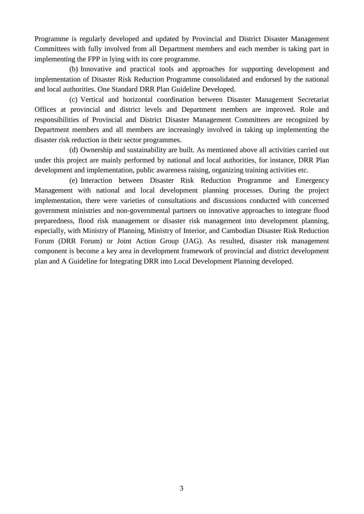Programme is regularly developed and updated by Provincial and District Disaster Management Committees with fully involved from all Department members and each member is taking part in implementing the FPP in lying with its core programme.

(b) Innovative and practical tools and approaches for supporting development and implementation of Disaster Risk Reduction Programme consolidated and endorsed by the national and local authorities. One Standard DRR Plan Guideline Developed.

(c) Vertical and horizontal coordination between Disaster Management Secretariat Offices at provincial and district levels and Department members are improved. Role and responsibilities of Provincial and District Disaster Management Committees are recognized by Department members and all members are increasingly involved in taking up implementing the disaster risk reduction in their sector programmes.

(d) Ownership and sustainability are built. As mentioned above all activities carried out under this project are mainly performed by national and local authorities, for instance, DRR Plan development and implementation, public awareness raising, organizing training activities etc.

(e) Interaction between Disaster Risk Reduction Programme and Emergency Management with national and local development planning processes. During the project implementation, there were varieties of consultations and discussions conducted with concerned government ministries and non-governmental partners on innovative approaches to integrate flood preparedness, flood risk management or disaster risk management into development planning, especially, with Ministry of Planning, Ministry of Interior, and Cambodian Disaster Risk Reduction Forum (DRR Forum) or Joint Action Group (JAG). As resulted, disaster risk management component is become a key area in development framework of provincial and district development plan and A Guideline for Integrating DRR into Local Development Planning developed.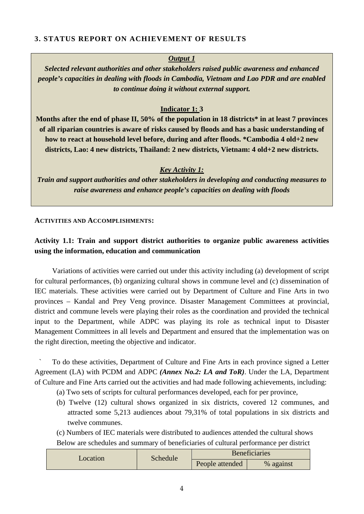# **3. STATUS REPORT ON ACHIEVEMENT OF RESULTS**

#### *Output 1*

*Selected relevant authorities and other stakeholders raised public awareness and enhanced people's capacities in dealing with floods in Cambodia, Vietnam and Lao PDR and are enabled to continue doing it without external support.*

# **Indicator 1: 3**

**Months after the end of phase II, 50% of the population in 18 districts\* in at least 7 provinces of all riparian countries is aware of risks caused by floods and has a basic understanding of how to react at household level before, during and after floods. \*Cambodia 4 old+2 new districts, Lao: 4 new districts, Thailand: 2 new districts, Vietnam: 4 old+2 new districts.**

# *Key Activity 1:*

*Train and support authorities and other stakeholders in developing and conducting measures to raise awareness and enhance people's capacities on dealing with floods*

#### **ACTIVITIES AND ACCOMPLISHMENTS:**

# **Activity 1.1: Train and support district authorities to organize public awareness activities using the information, education and communication**

Variations of activities were carried out under this activity including (a) development of script for cultural performances, (b) organizing cultural shows in commune level and (c) dissemination of IEC materials. These activities were carried out by Department of Culture and Fine Arts in two provinces – Kandal and Prey Veng province. Disaster Management Committees at provincial, district and commune levels were playing their roles as the coordination and provided the technical input to the Department, while ADPC was playing its role as technical input to Disaster Management Committees in all levels and Department and ensured that the implementation was on the right direction, meeting the objective and indicator.

` To do these activities, Department of Culture and Fine Arts in each province signed a Letter Agreement (LA) with PCDM and ADPC *(Annex No.2: LA and ToR)*. Under the LA, Department of Culture and Fine Arts carried out the activities and had made following achievements, including:

- (a) Two sets of scripts for cultural performances developed, each for per province,
- (b) Twelve (12) cultural shows organized in six districts, covered 12 communes, and attracted some 5,213 audiences about 79,31% of total populations in six districts and twelve communes.

(c) Numbers of IEC materials were distributed to audiences attended the cultural shows Below are schedules and summary of beneficiaries of cultural performance per district

| Location | Schedule | <b>Beneficiaries</b> |           |
|----------|----------|----------------------|-----------|
|          |          | People attended      | % against |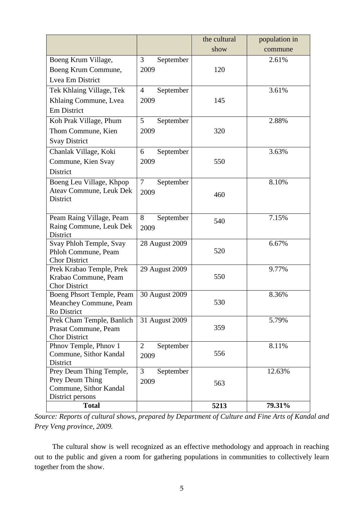|                                                     |                             | the cultural | population in |
|-----------------------------------------------------|-----------------------------|--------------|---------------|
|                                                     |                             | show         | commune       |
| Boeng Krum Village,                                 | 3<br>September              |              | 2.61%         |
| Boeng Krum Commune,                                 | 2009                        | 120          |               |
| Lvea Em District                                    |                             |              |               |
| Tek Khlaing Village, Tek                            | September<br>$\overline{4}$ |              | 3.61%         |
| Khlaing Commune, Lvea                               | 2009                        | 145          |               |
| Em District                                         |                             |              |               |
| Koh Prak Village, Phum                              | 5<br>September              |              | 2.88%         |
| Thom Commune, Kien                                  | 2009                        | 320          |               |
| <b>Svay District</b>                                |                             |              |               |
| Chanlak Village, Koki                               | September<br>6              |              | 3.63%         |
|                                                     | 2009                        | 550          |               |
| Commune, Kien Svay<br>District                      |                             |              |               |
|                                                     |                             |              |               |
| Boeng Leu Village, Khpop<br>Ateav Commune, Leuk Dek | $\tau$<br>September         |              | 8.10%         |
| <b>District</b>                                     | 2009                        | 460          |               |
|                                                     |                             |              |               |
| Peam Raing Village, Peam                            | 8<br>September              |              | 7.15%         |
| Raing Commune, Leuk Dek                             | 2009                        | 540          |               |
| <b>District</b>                                     |                             |              |               |
| Svay Phloh Temple, Svay                             | 28 August 2009              |              | 6.67%         |
| Phloh Commune, Peam                                 |                             | 520          |               |
| <b>Chor District</b><br>Prek Krabao Temple, Prek    | 29 August 2009              |              | 9.77%         |
| Krabao Commune, Peam                                |                             | 550          |               |
| <b>Chor District</b>                                |                             |              |               |
| Boeng Phsort Temple, Peam                           | 30 August 2009              |              | 8.36%         |
| Meanchey Commune, Peam                              |                             | 530          |               |
| Ro District                                         |                             |              |               |
| Prek Cham Temple, Banlich                           | 31 August 2009              |              | 5.79%         |
| Prasat Commune, Peam<br><b>Chor District</b>        |                             | 359          |               |
| Phnov Temple, Phnov 1                               | $\overline{2}$<br>September |              | 8.11%         |
| Commune, Sithor Kandal                              | 2009                        | 556          |               |
| District                                            |                             |              |               |
| Prey Deum Thing Temple,                             | 3<br>September              |              | 12.63%        |
| Prey Deum Thing                                     | 2009                        | 563          |               |
| Commune, Sithor Kandal                              |                             |              |               |
| District persons<br><b>Total</b>                    |                             |              | 79.31%        |
|                                                     |                             | 5213         |               |

*Source: Reports of cultural shows, prepared by Department of Culture and Fine Arts of Kandal and Prey Veng province, 2009.*

The cultural show is well recognized as an effective methodology and approach in reaching out to the public and given a room for gathering populations in communities to collectively learn together from the show.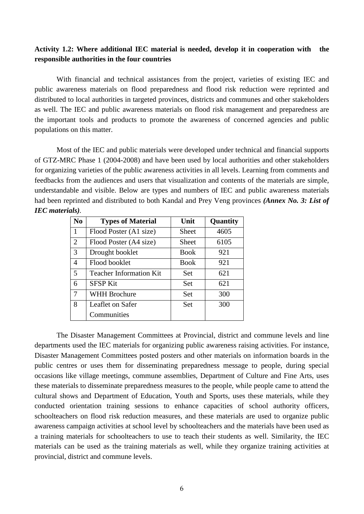# **Activity 1.2: Where additional IEC material is needed, develop it in cooperation with the responsible authorities in the four countries**

With financial and technical assistances from the project, varieties of existing IEC and public awareness materials on flood preparedness and flood risk reduction were reprinted and distributed to local authorities in targeted provinces, districts and communes and other stakeholders as well. The IEC and public awareness materials on flood risk management and preparedness are the important tools and products to promote the awareness of concerned agencies and public populations on this matter.

Most of the IEC and public materials were developed under technical and financial supports of GTZ-MRC Phase 1 (2004-2008) and have been used by local authorities and other stakeholders for organizing varieties of the public awareness activities in all levels. Learning from comments and feedbacks from the audiences and users that visualization and contents of the materials are simple, understandable and visible. Below are types and numbers of IEC and public awareness materials had been reprinted and distributed to both Kandal and Prey Veng provinces *(Annex No. 3: List of IEC materials).*

| N <sub>0</sub>          | <b>Types of Material</b>       | Unit  | Quantity |
|-------------------------|--------------------------------|-------|----------|
| $\mathbf{1}$            | Flood Poster (A1 size)         | Sheet | 4605     |
| 2                       | Flood Poster (A4 size)         | Sheet | 6105     |
| 3                       | Drought booklet                | Book  | 921      |
| 4                       | Flood booklet                  | Book  | 921      |
| $\overline{\mathbf{5}}$ | <b>Teacher Information Kit</b> | Set   | 621      |
| 6                       | <b>SFSP Kit</b>                | Set   | 621      |
| 7                       | <b>WHH Brochure</b>            | Set   | 300      |
| 8                       | Leaflet on Safer               | Set   | 300      |
|                         | Communities                    |       |          |

The Disaster Management Committees at Provincial, district and commune levels and line departments used the IEC materials for organizing public awareness raising activities. For instance, Disaster Management Committees posted posters and other materials on information boards in the public centres or uses them for disseminating preparedness message to people, during special occasions like village meetings, commune assemblies, Department of Culture and Fine Arts, uses these materials to disseminate preparedness measures to the people, while people came to attend the cultural shows and Department of Education, Youth and Sports, uses these materials, while they conducted orientation training sessions to enhance capacities of school authority officers, schoolteachers on flood risk reduction measures, and these materials are used to organize public awareness campaign activities at school level by schoolteachers and the materials have been used as a training materials for schoolteachers to use to teach their students as well. Similarity, the IEC materials can be used as the training materials as well, while they organize training activities at provincial, district and commune levels.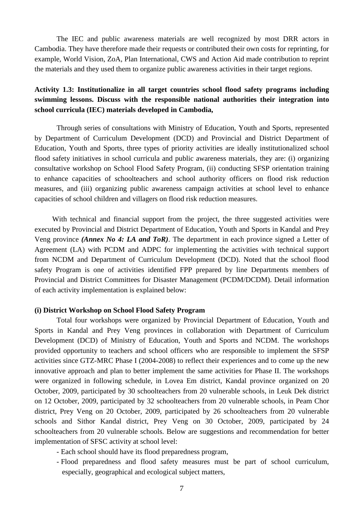The IEC and public awareness materials are well recognized by most DRR actors in Cambodia. They have therefore made their requests or contributed their own costs for reprinting, for example, World Vision, ZoA, Plan International, CWS and Action Aid made contribution to reprint the materials and they used them to organize public awareness activities in their target regions.

# **Activity 1.3: Institutionalize in all target countries school flood safety programs including swimming lessons. Discuss with the responsible national authorities their integration into school curricula (IEC) materials developed in Cambodia,**

Through series of consultations with Ministry of Education, Youth and Sports, represented by Department of Curriculum Development (DCD) and Provincial and District Department of Education, Youth and Sports, three types of priority activities are ideally institutionalized school flood safety initiatives in school curricula and public awareness materials, they are: (i) organizing consultative workshop on School Flood Safety Program, (ii) conducting SFSP orientation training to enhance capacities of schoolteachers and school authority officers on flood risk reduction measures, and (iii) organizing public awareness campaign activities at school level to enhance capacities of school children and villagers on flood risk reduction measures.

With technical and financial support from the project, the three suggested activities were executed by Provincial and District Department of Education, Youth and Sports in Kandal and Prey Veng province *(Annex No 4: LA and ToR)*. The department in each province signed a Letter of Agreement (LA) with PCDM and ADPC for implementing the activities with technical support from NCDM and Department of Curriculum Development (DCD). Noted that the school flood safety Program is one of activities identified FPP prepared by line Departments members of Provincial and District Committees for Disaster Management (PCDM/DCDM). Detail information of each activity implementation is explained below:

#### **(i) District Workshop on School Flood Safety Program**

Total four workshops were organized by Provincial Department of Education, Youth and Sports in Kandal and Prey Veng provinces in collaboration with Department of Curriculum Development (DCD) of Ministry of Education, Youth and Sports and NCDM. The workshops provided opportunity to teachers and school officers who are responsible to implement the SFSP activities since GTZ-MRC Phase I (2004-2008) to reflect their experiences and to come up the new innovative approach and plan to better implement the same activities for Phase II. The workshops were organized in following schedule, in Lovea Em district, Kandal province organized on 20 October, 2009, participated by 30 schoolteachers from 20 vulnerable schools, in Leuk Dek district on 12 October, 2009, participated by 32 schoolteachers from 20 vulnerable schools, in Peam Chor district, Prey Veng on 20 October, 2009, participated by 26 schoolteachers from 20 vulnerable schools and Sithor Kandal district, Prey Veng on 30 October, 2009, participated by 24 schoolteachers from 20 vulnerable schools. Below are suggestions and recommendation for better implementation of SFSC activity at school level:

- Each school should have its flood preparedness program,
- Flood preparedness and flood safety measures must be part of school curriculum, especially, geographical and ecological subject matters,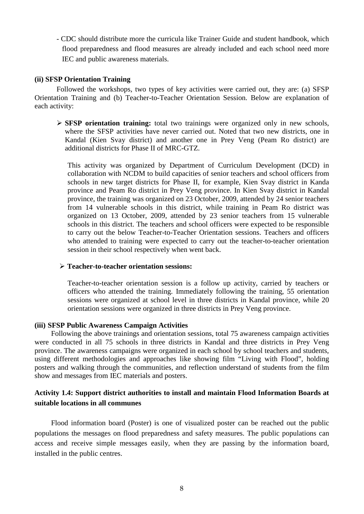- CDC should distribute more the curricula like Trainer Guide and student handbook, which flood preparedness and flood measures are already included and each school need more IEC and public awareness materials.

#### **(ii) SFSP Orientation Training**

Followed the workshops, two types of key activities were carried out, they are: (a) SFSP Orientation Training and (b) Teacher-to-Teacher Orientation Session. Below are explanation of each activity:

 **SFSP orientation training:** total two trainings were organized only in new schools, where the SFSP activities have never carried out. Noted that two new districts, one in Kandal (Kien Svay district) and another one in Prey Veng (Peam Ro district) are additional districts for Phase II of MRC-GTZ.

This activity was organized by Department of Curriculum Development (DCD) in collaboration with NCDM to build capacities of senior teachers and school officers from schools in new target districts for Phase II, for example, Kien Svay district in Kanda province and Peam Ro district in Prey Veng province. In Kien Svay district in Kandal province, the training was organized on 23 October, 2009, attended by 24 senior teachers from 14 vulnerable schools in this district, while training in Peam Ro district was organized on 13 October, 2009, attended by 23 senior teachers from 15 vulnerable schools in this district. The teachers and school officers were expected to be responsible to carry out the below Teacher-to-Teacher Orientation sessions. Teachers and officers who attended to training were expected to carry out the teacher-to-teacher orientation session in their school respectively when went back.

#### **Teacher-to-teacher orientation sessions:**

Teacher-to-teacher orientation session is a follow up activity, carried by teachers or officers who attended the training. Immediately following the training, 55 orientation sessions were organized at school level in three districts in Kandal province, while 20 orientation sessions were organized in three districts in Prey Veng province.

#### **(iii) SFSP Public Awareness Campaign Activities**

Following the above trainings and orientation sessions, total 75 awareness campaign activities were conducted in all 75 schools in three districts in Kandal and three districts in Prey Veng province. The awareness campaigns were organized in each school by school teachers and students, using different methodologies and approaches like showing film "Living with Flood", holding posters and walking through the communities, and reflection understand of students from the film show and messages from IEC materials and posters.

# **Activity 1.4: Support district authorities to install and maintain Flood Information Boards at suitable locations in all communes**

Flood information board (Poster) is one of visualized poster can be reached out the public populations the messages on flood preparedness and safety measures. The public populations can access and receive simple messages easily, when they are passing by the information board, installed in the public centres.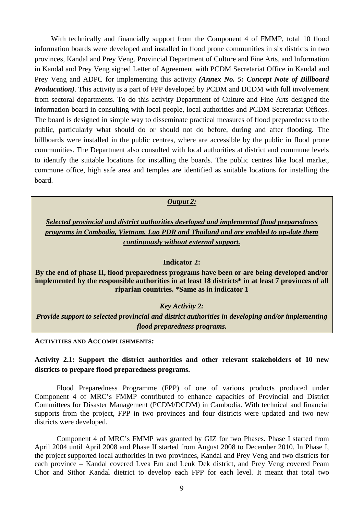With technically and financially support from the Component 4 of FMMP, total 10 flood information boards were developed and installed in flood prone communities in six districts in two provinces, Kandal and Prey Veng. Provincial Department of Culture and Fine Arts, and Information in Kandal and Prey Veng signed Letter of Agreement with PCDM Secretariat Office in Kandal and Prey Veng and ADPC for implementing this activity *(Annex No. 5: Concept Note of Billboard Producation*). This activity is a part of FPP developed by PCDM and DCDM with full involvement from sectoral departments. To do this activity Department of Culture and Fine Arts designed the information board in consulting with local people, local authorities and PCDM Secretariat Offices. The board is designed in simple way to disseminate practical measures of flood preparedness to the public, particularly what should do or should not do before, during and after flooding. The billboards were installed in the public centres, where are accessible by the public in flood prone communities. The Department also consulted with local authorities at district and commune levels to identify the suitable locations for installing the boards. The public centres like local market, commune office, high safe area and temples are identified as suitable locations for installing the board.

*Output 2:*

*Selected provincial and district authorities developed and implemented flood preparedness programs in Cambodia, Vietnam, Lao PDR and Thailand and are enabled to up-date them continuously without external support.*

#### **Indicator 2:**

**By the end of phase II, flood preparedness programs have been or are being developed and/or implemented by the responsible authorities in at least 18 districts\* in at least 7 provinces of all riparian countries. \*Same as in indicator 1**

#### *Key Activity 2:*

*Provide support to selected provincial and district authorities in developing and/or implementing flood preparedness programs.*

**ACTIVITIES AND ACCOMPLISHMENTS:**

# **Activity 2.1: Support the district authorities and other relevant stakeholders of 10 new districts to prepare flood preparedness programs.**

Flood Preparedness Programme (FPP) of one of various products produced under Component 4 of MRC's FMMP contributed to enhance capacities of Provincial and District Committees for Disaster Management (PCDM/DCDM) in Cambodia. With technical and financial supports from the project, FPP in two provinces and four districts were updated and two new districts were developed.

Component 4 of MRC's FMMP was granted by GIZ for two Phases. Phase I started from April 2004 until April 2008 and Phase II started from August 2008 to December 2010. In Phase I, the project supported local authorities in two provinces, Kandal and Prey Veng and two districts for each province – Kandal covered Lvea Em and Leuk Dek district, and Prey Veng covered Peam Chor and Sithor Kandal dietrict to develop each FPP for each level. It meant that total two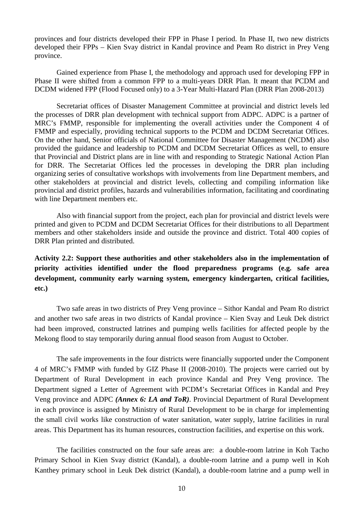provinces and four districts developed their FPP in Phase I period. In Phase II, two new districts developed their FPPs – Kien Svay district in Kandal province and Peam Ro district in Prey Veng province.

Gained experience from Phase I, the methodology and approach used for developing FPP in Phase II were shifted from a common FPP to a multi-years DRR Plan. It meant that PCDM and DCDM widened FPP (Flood Focused only) to a 3-Year Multi-Hazard Plan (DRR Plan 2008-2013)

Secretariat offices of Disaster Management Committee at provincial and district levels led the processes of DRR plan development with technical support from ADPC. ADPC is a partner of MRC's FMMP, responsible for implementing the overall activities under the Component 4 of FMMP and especially, providing technical supports to the PCDM and DCDM Secretariat Offices. On the other hand, Senior officials of National Committee for Disaster Management (NCDM) also provided the guidance and leadership to PCDM and DCDM Secretariat Offices as well, to ensure that Provincial and District plans are in line with and responding to Strategic National Action Plan for DRR. The Secretariat Offices led the processes in developing the DRR plan including organizing series of consultative workshops with involvements from line Department members, and other stakeholders at provincial and district levels, collecting and compiling information like provincial and district profiles, hazards and vulnerabilities information, facilitating and coordinating with line Department members etc.

Also with financial support from the project, each plan for provincial and district levels were printed and given to PCDM and DCDM Secretariat Offices for their distributions to all Department members and other stakeholders inside and outside the province and district. Total 400 copies of DRR Plan printed and distributed.

**Activity 2.2: Support these authorities and other stakeholders also in the implementation of priority activities identified under the flood preparedness programs (e.g. safe area development, community early warning system, emergency kindergarten, critical facilities, etc.)**

Two safe areas in two districts of Prey Veng province – Sithor Kandal and Peam Ro district and another two safe areas in two districts of Kandal province – Kien Svay and Leuk Dek district had been improved, constructed latrines and pumping wells facilities for affected people by the Mekong flood to stay temporarily during annual flood season from August to October.

The safe improvements in the four districts were financially supported under the Component 4 of MRC's FMMP with funded by GIZ Phase II (2008-2010). The projects were carried out by Department of Rural Development in each province Kandal and Prey Veng province. The Department signed a Letter of Agreement with PCDM's Secretariat Offices in Kandal and Prey Veng province and ADPC *(Annex 6: LA and ToR)*. Provincial Department of Rural Development in each province is assigned by Ministry of Rural Development to be in charge for implementing the small civil works like construction of water sanitation, water supply, latrine facilities in rural areas. This Department has its human resources, construction facilities, and expertise on this work.

The facilities constructed on the four safe areas are: a double-room latrine in Koh Tacho Primary School in Kien Svay district (Kandal), a double-room latrine and a pump well in Koh Kanthey primary school in Leuk Dek district (Kandal), a double-room latrine and a pump well in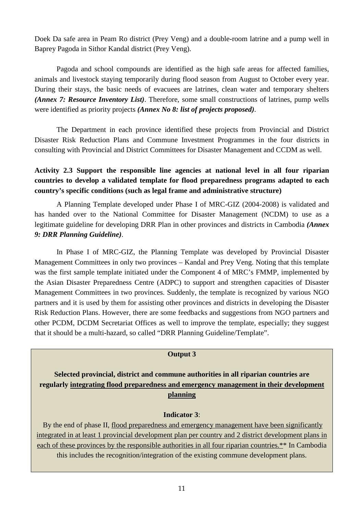Doek Da safe area in Peam Ro district (Prey Veng) and a double-room latrine and a pump well in Baprey Pagoda in Sithor Kandal district (Prey Veng).

Pagoda and school compounds are identified as the high safe areas for affected families, animals and livestock staying temporarily during flood season from August to October every year. During their stays, the basic needs of evacuees are latrines, clean water and temporary shelters *(Annex 7: Resource Inventory List)*. Therefore, some small constructions of latrines, pump wells were identified as priority projects *(Annex No 8: list of projects proposed)*.

The Department in each province identified these projects from Provincial and District Disaster Risk Reduction Plans and Commune Investment Programmes in the four districts in consulting with Provincial and District Committees for Disaster Management and CCDM as well.

# **Activity 2.3 Support the responsible line agencies at national level in all four riparian countries to develop a validated template for flood preparedness programs adapted to each country's specific conditions (such as legal frame and administrative structure)**

A Planning Template developed under Phase I of MRC-GIZ (2004-2008) is validated and has handed over to the National Committee for Disaster Management (NCDM) to use as a legitimate guideline for developing DRR Plan in other provinces and districts in Cambodia *(Annex 9: DRR Planning Guideline)*.

In Phase I of MRC-GIZ, the Planning Template was developed by Provincial Disaster Management Committees in only two provinces – Kandal and Prey Veng. Noting that this template was the first sample template initiated under the Component 4 of MRC's FMMP, implemented by the Asian Disaster Preparedness Centre (ADPC) to support and strengthen capacities of Disaster Management Committees in two provinces. Suddenly, the template is recognized by various NGO partners and it is used by them for assisting other provinces and districts in developing the Disaster Risk Reduction Plans. However, there are some feedbacks and suggestions from NGO partners and other PCDM, DCDM Secretariat Offices as well to improve the template, especially; they suggest that it should be a multi-hazard, so called "DRR Planning Guideline/Template".

# **Output 3**

**Selected provincial, district and commune authorities in all riparian countries are regularly integrating flood preparedness and emergency management in their development planning**

# **Indicator 3**:

By the end of phase II, flood preparedness and emergency management have been significantly integrated in at least 1 provincial development plan per country and 2 district development plans in each of these provinces by the responsible authorities in all four riparian countries.\*\* In Cambodia this includes the recognition/integration of the existing commune development plans.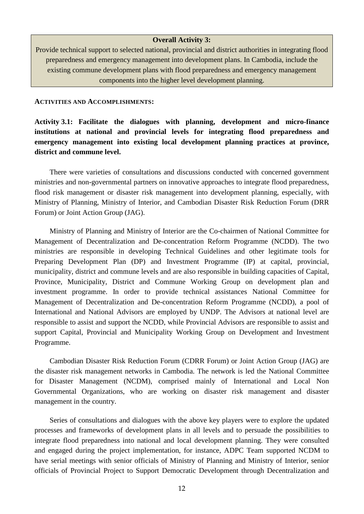#### **Overall Activity 3:**

Provide technical support to selected national, provincial and district authorities in integrating flood preparedness and emergency management into development plans. In Cambodia, include the existing commune development plans with flood preparedness and emergency management components into the higher level development planning.

#### **ACTIVITIES AND ACCOMPLISHMENTS:**

**Activity 3.1: Facilitate the dialogues with planning, development and micro-finance institutions at national and provincial levels for integrating flood preparedness and emergency management into existing local development planning practices at province, district and commune level.**

There were varieties of consultations and discussions conducted with concerned government ministries and non-governmental partners on innovative approaches to integrate flood preparedness, flood risk management or disaster risk management into development planning, especially, with Ministry of Planning, Ministry of Interior, and Cambodian Disaster Risk Reduction Forum (DRR Forum) or Joint Action Group (JAG).

Ministry of Planning and Ministry of Interior are the Co-chairmen of National Committee for Management of Decentralization and De-concentration Reform Programme (NCDD). The two ministries are responsible in developing Technical Guidelines and other legitimate tools for Preparing Development Plan (DP) and Investment Programme (IP) at capital, provincial, municipality, district and commune levels and are also responsible in building capacities of Capital, Province, Municipality, District and Commune Working Group on development plan and investment programme. In order to provide technical assistances National Committee for Management of Decentralization and De-concentration Reform Programme (NCDD), a pool of International and National Advisors are employed by UNDP. The Advisors at national level are responsible to assist and support the NCDD, while Provincial Advisors are responsible to assist and support Capital, Provincial and Municipality Working Group on Development and Investment Programme.

Cambodian Disaster Risk Reduction Forum (CDRR Forum) or Joint Action Group (JAG) are the disaster risk management networks in Cambodia. The network is led the National Committee for Disaster Management (NCDM), comprised mainly of International and Local Non Governmental Organizations, who are working on disaster risk management and disaster management in the country.

Series of consultations and dialogues with the above key players were to explore the updated processes and frameworks of development plans in all levels and to persuade the possibilities to integrate flood preparedness into national and local development planning. They were consulted and engaged during the project implementation, for instance, ADPC Team supported NCDM to have serial meetings with senior officials of Ministry of Planning and Ministry of Interior, senior officials of Provincial Project to Support Democratic Development through Decentralization and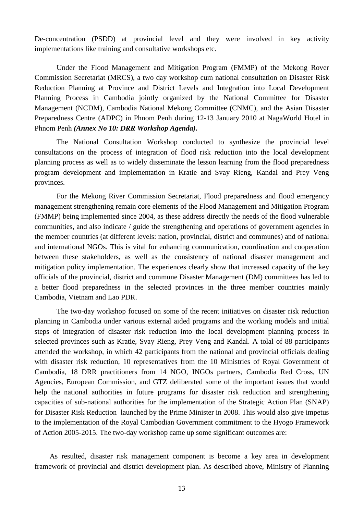De-concentration (PSDD) at provincial level and they were involved in key activity implementations like training and consultative workshops etc.

Under the Flood Management and Mitigation Program (FMMP) of the Mekong Rover Commission Secretariat (MRCS), a two day workshop cum national consultation on Disaster Risk Reduction Planning at Province and District Levels and Integration into Local Development Planning Process in Cambodia jointly organized by the National Committee for Disaster Management (NCDM), Cambodia National Mekong Committee (CNMC), and the Asian Disaster Preparedness Centre (ADPC) in Phnom Penh during 12-13 January 2010 at NagaWorld Hotel in Phnom Penh *(Annex No 10: DRR Workshop Agenda).*

The National Consultation Workshop conducted to synthesize the provincial level consultations on the process of integration of flood risk reduction into the local development planning process as well as to widely disseminate the lesson learning from the flood preparedness program development and implementation in Kratie and Svay Rieng, Kandal and Prey Veng provinces.

For the Mekong River Commission Secretariat, Flood preparedness and flood emergency management strengthening remain core elements of the Flood Management and Mitigation Program (FMMP) being implemented since 2004, as these address directly the needs of the flood vulnerable communities, and also indicate / guide the strengthening and operations of government agencies in the member countries (at different levels: nation, provincial, district and communes) and of national and international NGOs. This is vital for enhancing communication, coordination and cooperation between these stakeholders, as well as the consistency of national disaster management and mitigation policy implementation. The experiences clearly show that increased capacity of the key officials of the provincial, district and commune Disaster Management (DM) committees has led to a better flood preparedness in the selected provinces in the three member countries mainly Cambodia, Vietnam and Lao PDR.

The two-day workshop focused on some of the recent initiatives on disaster risk reduction planning in Cambodia under various external aided programs and the working models and initial steps of integration of disaster risk reduction into the local development planning process in selected provinces such as Kratie, Svay Rieng, Prey Veng and Kandal. A tolal of 88 participants attended the workshop, in which 42 participants from the national and provincial officials dealing with disaster risk reduction, 10 representatives from the 10 Ministries of Royal Government of Cambodia, 18 DRR practitioners from 14 NGO, INGOs partners, Cambodia Red Cross, UN Agencies, European Commission, and GTZ deliberated some of the important issues that would help the national authorities in future programs for disaster risk reduction and strengthening capacities of sub-national authorities for the implementation of the Strategic Action Plan (SNAP) for Disaster Risk Reduction launched by the Prime Minister in 2008. This would also give impetus to the implementation of the Royal Cambodian Government commitment to the Hyogo Framework of Action 2005-2015. The two-day workshop came up some significant outcomes are:

As resulted, disaster risk management component is become a key area in development framework of provincial and district development plan. As described above, Ministry of Planning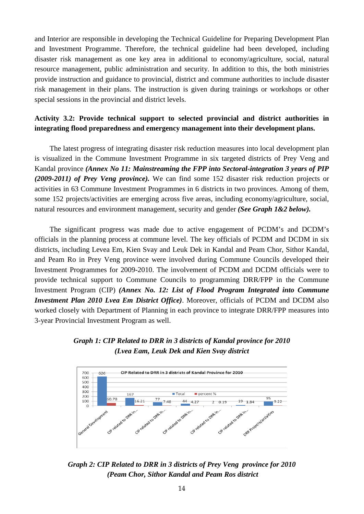and Interior are responsible in developing the Technical Guideline for Preparing Development Plan and Investment Programme. Therefore, the technical guideline had been developed, including disaster risk management as one key area in additional to economy/agriculture, social, natural resource management, public administration and security. In addition to this, the both ministries provide instruction and guidance to provincial, district and commune authorities to include disaster risk management in their plans. The instruction is given during trainings or workshops or other special sessions in the provincial and district levels.

# **Activity 3.2: Provide technical support to selected provincial and district authorities in integrating flood preparedness and emergency management into their development plans.**

The latest progress of integrating disaster risk reduction measures into local development plan is visualized in the Commune Investment Programme in six targeted districts of Prey Veng and Kandal province *(Annex No 11: Mainstreaming the FPP into Sectoral-integration 3 years of PIP (2009-2011) of Prey Veng province).* We can find some 152 disaster risk reduction projects or activities in 63 Commune Investment Programmes in 6 districts in two provinces. Among of them, some 152 projects/activities are emerging across five areas, including economy/agriculture, social, natural resources and environment management, security and gender *(See Graph 1&2 below).*

The significant progress was made due to active engagement of PCDM's and DCDM's officials in the planning process at commune level. The key officials of PCDM and DCDM in six districts, including Levea Em, Kien Svay and Leuk Dek in Kandal and Peam Chor, Sithor Kandal, and Peam Ro in Prey Veng province were involved during Commune Councils developed their Investment Programmes for 2009-2010. The involvement of PCDM and DCDM officials were to provide technical support to Commune Councils to programming DRR/FPP in the Commune Investment Program (CIP) *(Annex No. 12: List of Flood Program Integrated into Commune Investment Plan 2010 Lvea Em District Office)*. Moreover, officials of PCDM and DCDM also worked closely with Department of Planning in each province to integrate DRR/FPP measures into 3-year Provincial Investment Program as well.





*Graph 2: CIP Related to DRR in 3 districts of Prey Veng province for 2010 (Peam Chor, Sithor Kandal and Peam Ros district*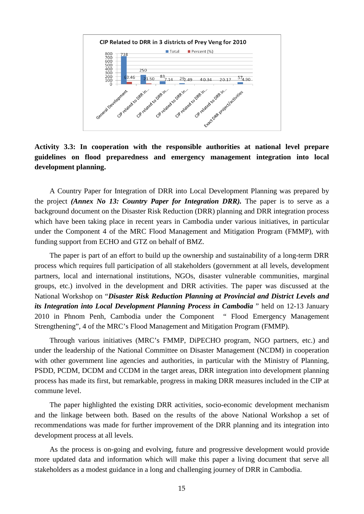

**Activity 3.3: In cooperation with the responsible authorities at national level prepare guidelines on flood preparedness and emergency management integration into local development planning.**

A Country Paper for Integration of DRR into Local Development Planning was prepared by the project *(Annex No 13: Country Paper for Integration DRR).* The paper is to serve as a background document on the Disaster Risk Reduction (DRR) planning and DRR integration process which have been taking place in recent years in Cambodia under various initiatives, in particular under the Component 4 of the MRC Flood Management and Mitigation Program (FMMP), with funding support from ECHO and GTZ on behalf of BMZ.

The paper is part of an effort to build up the ownership and sustainability of a long-term DRR process which requires full participation of all stakeholders (government at all levels, development partners, local and international institutions, NGOs, disaster vulnerable communities, marginal groups, etc.) involved in the development and DRR activities. The paper was discussed at the National Workshop on "*Disaster Risk Reduction Planning at Provincial and District Levels and its Integration into Local Development Planning Process in Cambodia* " held on 12-13 January 2010 in Phnom Penh, Cambodia under the Component " Flood Emergency Management Strengthening", 4 of the MRC's Flood Management and Mitigation Program (FMMP).

Through various initiatives (MRC's FMMP, DiPECHO program, NGO partners, etc.) and under the leadership of the National Committee on Disaster Management (NCDM) in cooperation with other government line agencies and authorities, in particular with the Ministry of Planning, PSDD, PCDM, DCDM and CCDM in the target areas, DRR integration into development planning process has made its first, but remarkable, progress in making DRR measures included in the CIP at commune level.

The paper highlighted the existing DRR activities, socio-economic development mechanism and the linkage between both. Based on the results of the above National Workshop a set of recommendations was made for further improvement of the DRR planning and its integration into development process at all levels.

As the process is on-going and evolving, future and progressive development would provide more updated data and information which will make this paper a living document that serve all stakeholders as a modest guidance in a long and challenging journey of DRR in Cambodia.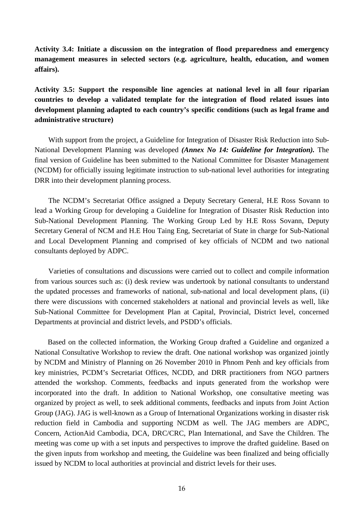**Activity 3.4: Initiate a discussion on the integration of flood preparedness and emergency management measures in selected sectors (e.g. agriculture, health, education, and women affairs).**

**Activity 3.5: Support the responsible line agencies at national level in all four riparian countries to develop a validated template for the integration of flood related issues into development planning adapted to each country's specific conditions (such as legal frame and administrative structure)**

With support from the project, a Guideline for Integration of Disaster Risk Reduction into Sub-National Development Planning was developed *(Annex No 14: Guideline for Integration).* The final version of Guideline has been submitted to the National Committee for Disaster Management (NCDM) for officially issuing legitimate instruction to sub-national level authorities for integrating DRR into their development planning process.

The NCDM's Secretariat Office assigned a Deputy Secretary General, H.E Ross Sovann to lead a Working Group for developing a Guideline for Integration of Disaster Risk Reduction into Sub-National Development Planning. The Working Group Led by H.E Ross Sovann, Deputy Secretary General of NCM and H.E Hou Taing Eng, Secretariat of State in charge for Sub-National and Local Development Planning and comprised of key officials of NCDM and two national consultants deployed by ADPC.

Varieties of consultations and discussions were carried out to collect and compile information from various sources such as: (i) desk review was undertook by national consultants to understand the updated processes and frameworks of national, sub-national and local development plans, (ii) there were discussions with concerned stakeholders at national and provincial levels as well, like Sub-National Committee for Development Plan at Capital, Provincial, District level, concerned Departments at provincial and district levels, and PSDD's officials.

Based on the collected information, the Working Group drafted a Guideline and organized a National Consultative Workshop to review the draft. One national workshop was organized jointly by NCDM and Ministry of Planning on 26 November 2010 in Phnom Penh and key officials from key ministries, PCDM's Secretariat Offices, NCDD, and DRR practitioners from NGO partners attended the workshop. Comments, feedbacks and inputs generated from the workshop were incorporated into the draft. In addition to National Workshop, one consultative meeting was organized by project as well, to seek additional comments, feedbacks and inputs from Joint Action Group (JAG). JAG is well-known as a Group of International Organizations working in disaster risk reduction field in Cambodia and supporting NCDM as well. The JAG members are ADPC, Concern, ActionAid Cambodia, DCA, DRC/CRC, Plan International, and Save the Children. The meeting was come up with a set inputs and perspectives to improve the drafted guideline. Based on the given inputs from workshop and meeting, the Guideline was been finalized and being officially issued by NCDM to local authorities at provincial and district levels for their uses.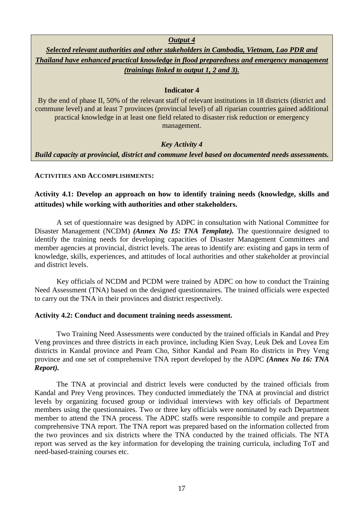*Output 4*

*Selected relevant authorities and other stakeholders in Cambodia, Vietnam, Lao PDR and Thailand have enhanced practical knowledge in flood preparedness and emergency management (trainings linked to output 1, 2 and 3).*

# **Indicator 4**

By the end of phase II, 50% of the relevant staff of relevant institutions in 18 districts (district and commune level) and at least 7 provinces (provincial level) of all riparian countries gained additional practical knowledge in at least one field related to disaster risk reduction or emergency management.

# *Key Activity 4*

*Build capacity at provincial, district and commune level based on documented needs assessments.*

#### **ACTIVITIES AND ACCOMPLISHMENTS:**

# **Activity 4.1: Develop an approach on how to identify training needs (knowledge, skills and attitudes) while working with authorities and other stakeholders.**

A set of questionnaire was designed by ADPC in consultation with National Committee for Disaster Management (NCDM) *(Annex No 15: TNA Template).* The questionnaire designed to identify the training needs for developing capacities of Disaster Management Committees and member agencies at provincial, district levels. The areas to identify are: existing and gaps in term of knowledge, skills, experiences, and attitudes of local authorities and other stakeholder at provincial and district levels.

Key officials of NCDM and PCDM were trained by ADPC on how to conduct the Training Need Assessment (TNA) based on the designed questionnaires. The trained officials were expected to carry out the TNA in their provinces and district respectively.

# **Activity 4.2: Conduct and document training needs assessment.**

Two Training Need Assessments were conducted by the trained officials in Kandal and Prey Veng provinces and three districts in each province, including Kien Svay, Leuk Dek and Lovea Em districts in Kandal province and Peam Cho, Sithor Kandal and Peam Ro districts in Prey Veng province and one set of comprehensive TNA report developed by the ADPC *(Annex No 16: TNA Report).*

The TNA at provincial and district levels were conducted by the trained officials from Kandal and Prey Veng provinces. They conducted immediately the TNA at provincial and district levels by organizing focused group or individual interviews with key officials of Department members using the questionnaires. Two or three key officials were nominated by each Department member to attend the TNA process. The ADPC staffs were responsible to compile and prepare a comprehensive TNA report. The TNA report was prepared based on the information collected from the two provinces and six districts where the TNA conducted by the trained officials. The NTA report was served as the key information for developing the training curricula, including ToT and need-based-training courses etc.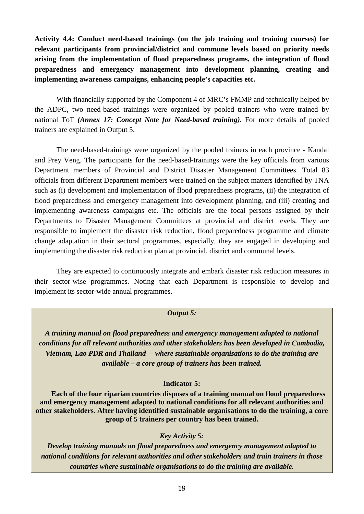**Activity 4.4: Conduct need-based trainings (on the job training and training courses) for relevant participants from provincial/district and commune levels based on priority needs arising from the implementation of flood preparedness programs, the integration of flood preparedness and emergency management into development planning, creating and implementing awareness campaigns, enhancing people's capacities etc.**

With financially supported by the Component 4 of MRC's FMMP and technically helped by the ADPC, two need-based trainings were organized by pooled trainers who were trained by national ToT *(Annex 17: Concept Note for Need-based training).* For more details of pooled trainers are explained in Output 5.

The need-based-trainings were organized by the pooled trainers in each province - Kandal and Prey Veng. The participants for the need-based-trainings were the key officials from various Department members of Provincial and District Disaster Management Committees. Total 83 officials from different Department members were trained on the subject matters identified by TNA such as (i) development and implementation of flood preparedness programs, (ii) the integration of flood preparedness and emergency management into development planning, and (iii) creating and implementing awareness campaigns etc. The officials are the focal persons assigned by their Departments to Disaster Management Committees at provincial and district levels. They are responsible to implement the disaster risk reduction, flood preparedness programme and climate change adaptation in their sectoral programmes, especially, they are engaged in developing and implementing the disaster risk reduction plan at provincial, district and communal levels.

They are expected to continuously integrate and embark disaster risk reduction measures in their sector-wise programmes. Noting that each Department is responsible to develop and implement its sector-wide annual programmes.

#### *Output 5:*

*A training manual on flood preparedness and emergency management adapted to national conditions for all relevant authorities and other stakeholders has been developed in Cambodia, Vietnam, Lao PDR and Thailand – where sustainable organisations to do the training are available – a core group of trainers has been trained.*

#### **Indicator 5:**

**Each of the four riparian countries disposes of a training manual on flood preparedness and emergency management adapted to national conditions for all relevant authorities and other stakeholders. After having identified sustainable organisations to do the training, a core group of 5 trainers per country has been trained.**

# *Key Activity 5:*

*Develop training manuals on flood preparedness and emergency management adapted to national conditions for relevant authorities and other stakeholders and train trainers in those countries where sustainable organisations to do the training are available.*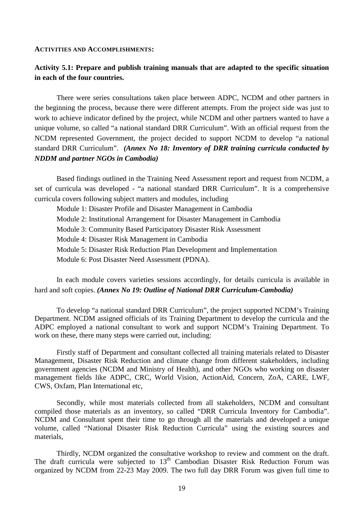#### **ACTIVITIES AND ACCOMPLISHMENTS:**

# **Activity 5.1: Prepare and publish training manuals that are adapted to the specific situation in each of the four countries.**

There were series consultations taken place between ADPC, NCDM and other partners in the beginning the process, because there were different attempts. From the project side was just to work to achieve indicator defined by the project, while NCDM and other partners wanted to have a unique volume, so called "a national standard DRR Curriculum". With an official request from the NCDM represented Government, the project decided to support NCDM to develop "a national standard DRR Curriculum". *(Annex No 18: Inventory of DRR training curricula conducted by NDDM and partner NGOs in Cambodia)*

Based findings outlined in the Training Need Assessment report and request from NCDM, a set of curricula was developed - "a national standard DRR Curriculum". It is a comprehensive curricula covers following subject matters and modules, including

Module 1: Disaster Profile and Disaster Management in Cambodia Module 2: Institutional Arrangement for Disaster Management in Cambodia Module 3: Community Based Participatory Disaster Risk Assessment Module 4: Disaster Risk Management in Cambodia Module 5: Disaster Risk Reduction Plan Development and Implementation Module 6: Post Disaster Need Assessment (PDNA).

In each module covers varieties sessions accordingly, for details curricula is available in hard and soft copies. *(Annex No 19: Outline of National DRR Curriculum-Cambodia)*

To develop "a national standard DRR Curriculum", the project supported NCDM's Training Department. NCDM assigned officials of its Training Department to develop the curricula and the ADPC employed a national consultant to work and support NCDM's Training Department. To work on these, there many steps were carried out, including:

Firstly staff of Department and consultant collected all training materials related to Disaster Management, Disaster Risk Reduction and climate change from different stakeholders, including government agencies (NCDM and Ministry of Health), and other NGOs who working on disaster management fields like ADPC, CRC, World Vision, ActionAid, Concern, ZoA, CARE, LWF, CWS, Oxfam, Plan International etc,

Secondly, while most materials collected from all stakeholders, NCDM and consultant compiled those materials as an inventory, so called "DRR Curricula Inventory for Cambodia". NCDM and Consultant spent their time to go through all the materials and developed a unique volume, called "National Disaster Risk Reduction Curricula" using the existing sources and materials,

Thirdly, NCDM organized the consultative workshop to review and comment on the draft. The draft curricula were subjected to 13<sup>th</sup> Cambodian Disaster Risk Reduction Forum was organized by NCDM from 22-23 May 2009. The two full day DRR Forum was given full time to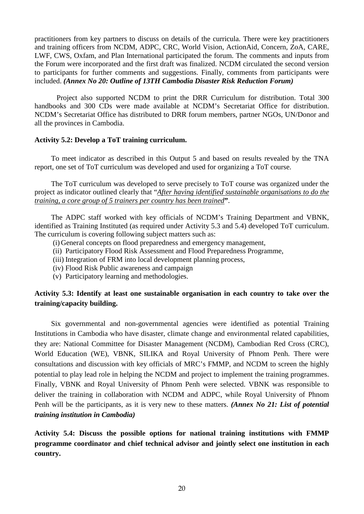practitioners from key partners to discuss on details of the curricula. There were key practitioners and training officers from NCDM, ADPC, CRC, World Vision, ActionAid, Concern, ZoA, CARE, LWF, CWS, Oxfam, and Plan International participated the forum. The comments and inputs from the Forum were incorporated and the first draft was finalized. NCDM circulated the second version to participants for further comments and suggestions. Finally, comments from participants were included. *(Annex No 20: Outline of 13TH Cambodia Disaster Risk Reduction Forum)*

Project also supported NCDM to print the DRR Curriculum for distribution. Total 300 handbooks and 300 CDs were made available at NCDM's Secretariat Office for distribution. NCDM's Secretariat Office has distributed to DRR forum members, partner NGOs, UN/Donor and all the provinces in Cambodia.

# **Activity 5.2: Develop a ToT training curriculum.**

To meet indicator as described in this Output 5 and based on results revealed by the TNA report, one set of ToT curriculum was developed and used for organizing a ToT course.

The ToT curriculum was developed to serve precisely to ToT course was organized under the project as indicator outlined clearly that "*After having identified sustainable organisations to do the training, a core group of 5 trainers per country has been trained***"**.

The ADPC staff worked with key officials of NCDM's Training Department and VBNK, identified as Training Instituted (as required under Activity 5.3 and 5.4) developed ToT curriculum. The curriculum is covering following subject matters such as:

- (i) General concepts on flood preparedness and emergency management,
- (ii) Participatory Flood Risk Assessment and Flood Preparedness Programme,
- (iii) Integration of FRM into local development planning process,
- (iv) Flood Risk Public awareness and campaign
- (v) Participatory learning and methodologies.

# **Activity 5.3: Identify at least one sustainable organisation in each country to take over the training/capacity building.**

Six governmental and non-governmental agencies were identified as potential Training Institutions in Cambodia who have disaster, climate change and environmental related capabilities, they are: National Committee for Disaster Management (NCDM), Cambodian Red Cross (CRC), World Education (WE), VBNK, SILIKA and Royal University of Phnom Penh. There were consultations and discussion with key officials of MRC's FMMP, and NCDM to screen the highly potential to play lead role in helping the NCDM and project to implement the training programmes. Finally, VBNK and Royal University of Phnom Penh were selected. VBNK was responsible to deliver the training in collaboration with NCDM and ADPC, while Royal University of Phnom Penh will be the participants, as it is very new to these matters. *(Annex No 21: List of potential training institution in Cambodia)*

**Activity 5.4: Discuss the possible options for national training institutions with FMMP programme coordinator and chief technical advisor and jointly select one institution in each country.**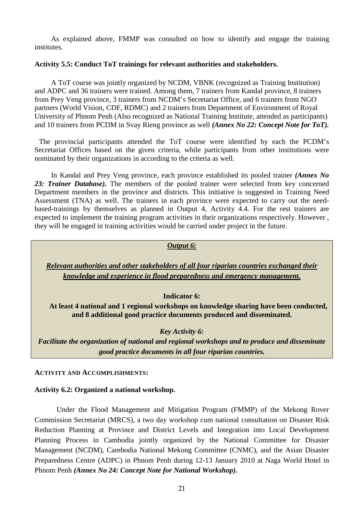As explained above, FMMP was consulted on how to identify and engage the training institutes.

#### **Activity 5.5: Conduct ToT trainings for relevant authorities and stakeholders.**

A ToT course was jointly organized by NCDM, VBNK (recognized as Training Institution) and ADPC and 36 trainers were trained. Among them, 7 trainers from Kandal province, 8 trainers from Prey Veng province, 3 trainers from NCDM's Secretariat Office, and 6 trainers from NGO partners (World Vision, CDF, RDMC) and 2 trainers from Department of Environment of Royal University of Phnom Penh (Also recognized as National Training Institute, attended as participants) and 10 trainers from PCDM in Svay Rieng province as well *(Annex No 22: Concept Note for ToT).* 

The provincial participants attended the ToT course were identified by each the PCDM's Secretariat Offices based on the given criteria, while participants from other institutions were nominated by their organizations in according to the criteria as well.

In Kandal and Prey Veng province, each province established its pooled trainer *(Annex No*  23: Trainer Database). The members of the pooled trainer were selected from key concerned Department members in the province and districts. This initiative is suggested in Training Need Assessment (TNA) as well. The trainers in each province were expected to carry out the needbased-trainings by themselves as planned in Output 4, Activity 4.4. For the rest trainers are expected to implement the training program activities in their organizations respectively. However , they will be engaged in training activities would be carried under project in the future.

#### *Output 6:*

*Relevant authorities and other stakeholders of all four riparian countries exchanged their knowledge and experience in flood preparedness and emergency management.*

#### **Indicator 6:**

**At least 4 national and 1 regional workshops on knowledge sharing have been conducted, and 8 additional good practice documents produced and disseminated.**

#### *Key Activity 6:*

*Facilitate the organization of national and regional workshops and to produce and disseminate good practice documents in all four riparian countries.*

#### **ACTIVITY AND ACCOMPLISHMENTS:**

#### **Activity 6.2: Organized a national workshop.**

Under the Flood Management and Mitigation Program (FMMP) of the Mekong Rover Commission Secretariat (MRCS), a two day workshop cum national consultation on Disaster Risk Reduction Planning at Province and District Levels and Integration into Local Development Planning Process in Cambodia jointly organized by the National Committee for Disaster Management (NCDM), Cambodia National Mekong Committee (CNMC), and the Asian Disaster Preparedness Centre (ADPC) in Phnom Penh during 12-13 January 2010 at Naga World Hotel in Phnom Penh *(Annex No 24: Concept Note for National Workshop).*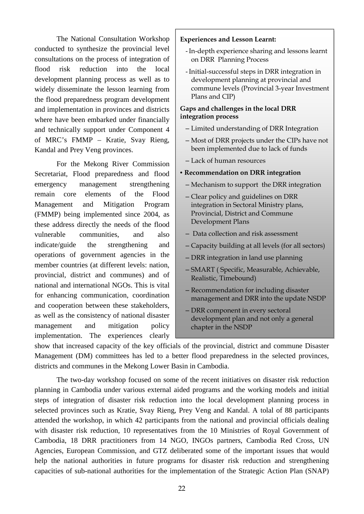The National Consultation Workshop conducted to synthesize the provincial level consultations on the process of integration of flood risk reduction into the local development planning process as well as to widely disseminate the lesson learning from the flood preparedness program development and implementation in provinces and districts where have been embarked under financially and technically support under Component 4 of MRC's FMMP – Kratie, Svay Rieng, Kandal and Prey Veng provinces.

For the Mekong River Commission Secretariat, Flood preparedness and flood emergency management strengthening remain core elements of the Flood Management and Mitigation Program (FMMP) being implemented since 2004, as these address directly the needs of the flood vulnerable communities, and also indicate/guide the strengthening and operations of government agencies in the member countries (at different levels: nation, provincial, district and communes) and of national and international NGOs. This is vital for enhancing communication, coordination and cooperation between these stakeholders, as well as the consistency of national disaster management and mitigation policy implementation. The experiences clearly

#### **Experiences and Lesson Learnt:**

- -In-depth experience sharing and lessons learnt on DRR Planning Process
- -Initial-successful steps in DRR integration in development planning at provincial and commune levels (Provincial 3-year Investment Plans and CIP)

#### **Gaps and challenges in the local DRR integration process**

- Limited understanding of DRR Integration
- Most of DRR projects under the CIPs have not been implemented due to lack of funds
- Lack of human resources

#### • **Recommendation on DRR integration**

- Mechanism to support the DRR integration
- Clear policy and guidelines on DRR integration in Sectoral Ministry plans, Provincial, District and Commune Development Plans
- Data collection and risk assessment
- Capacity building at all levels (for all sectors)
- DRR integration in land use planning
- SMART ( Specific, Measurable, Achievable, Realistic, Timebound)
- Recommendation for including disaster management and DRR into the update NSDP
- DRR component in every sectoral development plan and not only a general chapter in the NSDP

show that increased capacity of the key officials of the provincial, district and commune Disaster Management (DM) committees has led to a better flood preparedness in the selected provinces, districts and communes in the Mekong Lower Basin in Cambodia.

The two-day workshop focused on some of the recent initiatives on disaster risk reduction planning in Cambodia under various external aided programs and the working models and initial steps of integration of disaster risk reduction into the local development planning process in selected provinces such as Kratie, Svay Rieng, Prey Veng and Kandal. A tolal of 88 participants attended the workshop, in which 42 participants from the national and provincial officials dealing with disaster risk reduction, 10 representatives from the 10 Ministries of Royal Government of Cambodia, 18 DRR practitioners from 14 NGO, INGOs partners, Cambodia Red Cross, UN Agencies, European Commission, and GTZ deliberated some of the important issues that would help the national authorities in future programs for disaster risk reduction and strengthening capacities of sub-national authorities for the implementation of the Strategic Action Plan (SNAP)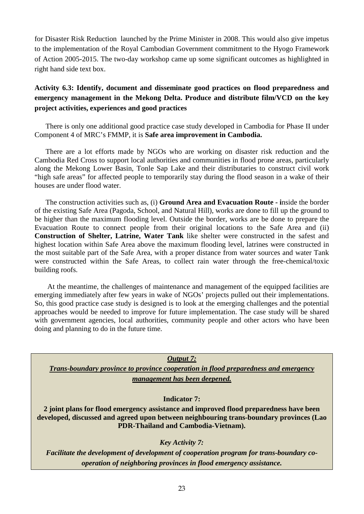for Disaster Risk Reduction launched by the Prime Minister in 2008. This would also give impetus to the implementation of the Royal Cambodian Government commitment to the Hyogo Framework of Action 2005-2015. The two-day workshop came up some significant outcomes as highlighted in right hand side text box.

# **Activity 6.3: Identify, document and disseminate good practices on flood preparedness and emergency management in the Mekong Delta. Produce and distribute film/VCD on the key project activities, experiences and good practices**

There is only one additional good practice case study developed in Cambodia for Phase II under Component 4 of MRC's FMMP, it is **Safe area improvement in Cambodia.** 

There are a lot efforts made by NGOs who are working on disaster risk reduction and the Cambodia Red Cross to support local authorities and communities in flood prone areas, particularly along the Mekong Lower Basin, Tonle Sap Lake and their distributaries to construct civil work "high safe areas" for affected people to temporarily stay during the flood season in a wake of their houses are under flood water.

The construction activities such as, (i) **Ground Area and Evacuation Route - i**nside the border of the existing Safe Area (Pagoda, School, and Natural Hill), works are done to fill up the ground to be higher than the maximum flooding level. Outside the border, works are be done to prepare the Evacuation Route to connect people from their original locations to the Safe Area and (ii) **Construction of Shelter, Latrine, Water Tank** like shelter were constructed in the safest and highest location within Safe Area above the maximum flooding level, latrines were constructed in the most suitable part of the Safe Area, with a proper distance from water sources and water Tank were constructed within the Safe Areas, to collect rain water through the free-chemical/toxic building roofs.

At the meantime, the challenges of maintenance and management of the equipped facilities are emerging immediately after few years in wake of NGOs' projects pulled out their implementations. So, this good practice case study is designed is to look at the emerging challenges and the potential approaches would be needed to improve for future implementation. The case study will be shared with government agencies, local authorities, community people and other actors who have been doing and planning to do in the future time.

*Output 7:*

*Trans-boundary province to province cooperation in flood preparedness and emergency management has been deepened.*

# **Indicator 7:**

**2 joint plans for flood emergency assistance and improved flood preparedness have been developed, discussed and agreed upon between neighbouring trans-boundary provinces (Lao PDR-Thailand and Cambodia-Vietnam).**

# *Key Activity 7:*

*Facilitate the development of development of cooperation program for trans-boundary cooperation of neighboring provinces in flood emergency assistance.*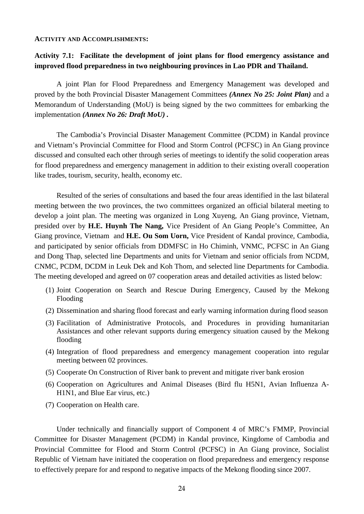#### **ACTIVITY AND ACCOMPLISHMENTS:**

# **Activity 7.1: Facilitate the development of joint plans for flood emergency assistance and improved flood preparedness in two neighbouring provinces in Lao PDR and Thailand.**

A joint Plan for Flood Preparedness and Emergency Management was developed and proved by the both Provincial Disaster Management Committees *(Annex No 25: Joint Plan)* and a Memorandum of Understanding (MoU) is being signed by the two committees for embarking the implementation *(Annex No 26: Draft MoU) .*

The Cambodia's Provincial Disaster Management Committee (PCDM) in Kandal province and Vietnam's Provincial Committee for Flood and Storm Control (PCFSC) in An Giang province discussed and consulted each other through series of meetings to identify the solid cooperation areas for flood preparedness and emergency management in addition to their existing overall cooperation like trades, tourism, security, health, economy etc.

Resulted of the series of consultations and based the four areas identified in the last bilateral meeting between the two provinces, the two committees organized an official bilateral meeting to develop a joint plan. The meeting was organized in Long Xuyeng, An Giang province, Vietnam, presided over by **H.E. Huynh The Nang,** Vice President of An Giang People's Committee, An Giang province, Vietnam and **H.E. Ou Som Uorn,** Vice President of Kandal province, Cambodia, and participated by senior officials from DDMFSC in Ho Chiminh, VNMC, PCFSC in An Giang and Dong Thap, selected line Departments and units for Vietnam and senior officials from NCDM, CNMC, PCDM, DCDM in Leuk Dek and Koh Thom, and selected line Departments for Cambodia. The meeting developed and agreed on 07 cooperation areas and detailed activities as listed below:

- (1) Joint Cooperation on Search and Rescue During Emergency, Caused by the Mekong Flooding
- (2) Dissemination and sharing flood forecast and early warning information during flood season
- (3) Facilitation of Administrative Protocols, and Procedures in providing humanitarian Assistances and other relevant supports during emergency situation caused by the Mekong flooding
- (4) Integration of flood preparedness and emergency management cooperation into regular meeting between 02 provinces.
- (5) Cooperate On Construction of River bank to prevent and mitigate river bank erosion
- (6) Cooperation on Agricultures and Animal Diseases (Bird flu H5N1, Avian Influenza A-H1N1, and Blue Ear virus, etc.)
- (7) Cooperation on Health care.

Under technically and financially support of Component 4 of MRC's FMMP, Provincial Committee for Disaster Management (PCDM) in Kandal province, Kingdome of Cambodia and Provincial Committee for Flood and Storm Control (PCFSC) in An Giang province, Socialist Republic of Vietnam have initiated the cooperation on flood preparedness and emergency response to effectively prepare for and respond to negative impacts of the Mekong flooding since 2007.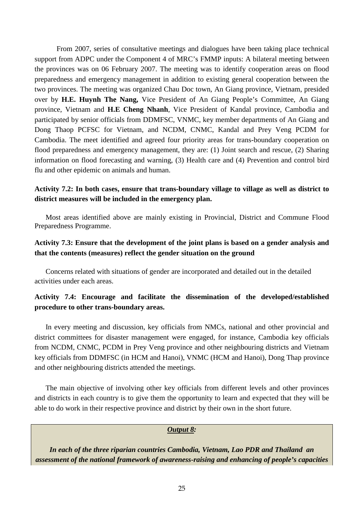From 2007, series of consultative meetings and dialogues have been taking place technical support from ADPC under the Component 4 of MRC's FMMP inputs: A bilateral meeting between the provinces was on 06 February 2007. The meeting was to identify cooperation areas on flood preparedness and emergency management in addition to existing general cooperation between the two provinces. The meeting was organized Chau Doc town, An Giang province, Vietnam, presided over by **H.E. Huynh The Nang,** Vice President of An Giang People's Committee, An Giang province, Vietnam and **H.E Cheng Nhanh**, Vice President of Kandal province, Cambodia and participated by senior officials from DDMFSC, VNMC, key member departments of An Giang and Dong Thaop PCFSC for Vietnam, and NCDM, CNMC, Kandal and Prey Veng PCDM for Cambodia. The meet identified and agreed four priority areas for trans-boundary cooperation on flood preparedness and emergency management, they are: (1) Joint search and rescue, (2) Sharing information on flood forecasting and warning, (3) Health care and (4) Prevention and control bird flu and other epidemic on animals and human.

# **Activity 7.2: In both cases, ensure that trans-boundary village to village as well as district to district measures will be included in the emergency plan.**

Most areas identified above are mainly existing in Provincial, District and Commune Flood Preparedness Programme.

# **Activity 7.3: Ensure that the development of the joint plans is based on a gender analysis and that the contents (measures) reflect the gender situation on the ground**

Concerns related with situations of gender are incorporated and detailed out in the detailed activities under each areas.

# **Activity 7.4: Encourage and facilitate the dissemination of the developed/established procedure to other trans-boundary areas.**

In every meeting and discussion, key officials from NMCs, national and other provincial and district committees for disaster management were engaged, for instance, Cambodia key officials from NCDM, CNMC, PCDM in Prey Veng province and other neighbouring districts and Vietnam key officials from DDMFSC (in HCM and Hanoi), VNMC (HCM and Hanoi), Dong Thap province and other neighbouring districts attended the meetings.

The main objective of involving other key officials from different levels and other provinces and districts in each country is to give them the opportunity to learn and expected that they will be able to do work in their respective province and district by their own in the short future.

#### *Output 8:*

*In each of the three riparian countries Cambodia, Vietnam, Lao PDR and Thailand an assessment of the national framework of awareness-raising and enhancing of people's capacities*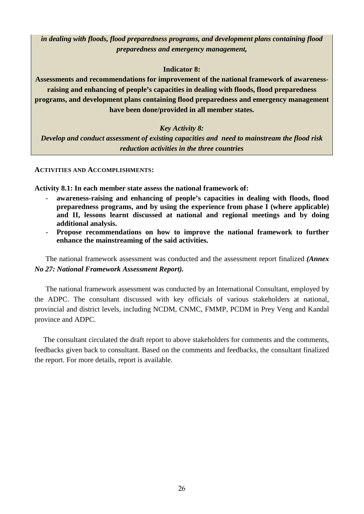*in dealing with floods, flood preparedness programs, and development plans containing flood preparedness and emergency management,*

# **Indicator 8:**

**Assessments and recommendations for improvement of the national framework of awarenessraising and enhancing of people's capacities in dealing with floods, flood preparedness programs, and development plans containing flood preparedness and emergency management have been done/provided in all member states.**

# *Key Activity 8:*

*Develop and conduct assessment of existing capacities and need to mainstream the flood risk reduction activities in the three countries*

**ACTIVITIES AND ACCOMPLISHMENTS:**

**Activity 8.1: In each member state assess the national framework of:**

- **awareness-raising and enhancing of people's capacities in dealing with floods, flood preparedness programs, and by using the experience from phase I (where applicable) and II, lessons learnt discussed at national and regional meetings and by doing additional analysis.**
- **Propose recommendations on how to improve the national framework to further enhance the mainstreaming of the said activities.**

The national framework assessment was conducted and the assessment report finalized *(Annex No 27: National Framework Assessment Report).*

The national framework assessment was conducted by an International Consultant, employed by the ADPC. The consultant discussed with key officials of various stakeholders at national, provincial and district levels, including NCDM, CNMC, FMMP, PCDM in Prey Veng and Kandal province and ADPC.

The consultant circulated the draft report to above stakeholders for comments and the comments, feedbacks given back to consultant. Based on the comments and feedbacks, the consultant finalized the report. For more details, report is available.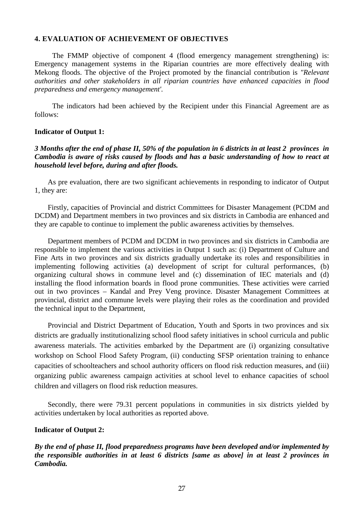#### **4. EVALUATION OF ACHIEVEMENT OF OBJECTIVES**

The FMMP objective of component 4 (flood emergency management strengthening) is: Emergency management systems in the Riparian countries are more effectively dealing with Mekong floods. The objective of the Project promoted by the financial contribution is *"Relevant authorities and other stakeholders in all riparian countries have enhanced capacities in flood preparedness and emergency management'.*

The indicators had been achieved by the Recipient under this Financial Agreement are as follows:

#### **Indicator of Output 1:**

#### *3 Months after the end of phase II, 50% of the population in 6 districts in at least 2 provinces in Cambodia is aware of risks caused by floods and has a basic understanding of how to react at household level before, during and after floods.*

As pre evaluation, there are two significant achievements in responding to indicator of Output 1, they are:

Firstly, capacities of Provincial and district Committees for Disaster Management (PCDM and DCDM) and Department members in two provinces and six districts in Cambodia are enhanced and they are capable to continue to implement the public awareness activities by themselves.

Department members of PCDM and DCDM in two provinces and six districts in Cambodia are responsible to implement the various activities in Output 1 such as: (i) Department of Culture and Fine Arts in two provinces and six districts gradually undertake its roles and responsibilities in implementing following activities (a) development of script for cultural performances, (b) organizing cultural shows in commune level and (c) dissemination of IEC materials and (d) installing the flood information boards in flood prone communities. These activities were carried out in two provinces – Kandal and Prey Veng province. Disaster Management Committees at provincial, district and commune levels were playing their roles as the coordination and provided the technical input to the Department,

Provincial and District Department of Education, Youth and Sports in two provinces and six districts are gradually institutionalizing school flood safety initiatives in school curricula and public awareness materials. The activities embarked by the Department are (i) organizing consultative workshop on School Flood Safety Program, (ii) conducting SFSP orientation training to enhance capacities of schoolteachers and school authority officers on flood risk reduction measures, and (iii) organizing public awareness campaign activities at school level to enhance capacities of school children and villagers on flood risk reduction measures.

Secondly, there were 79.31 percent populations in communities in six districts yielded by activities undertaken by local authorities as reported above.

#### **Indicator of Output 2:**

*By the end of phase II, flood preparedness programs have been developed and/or implemented by the responsible authorities in at least 6 districts [same as above] in at least 2 provinces in Cambodia.*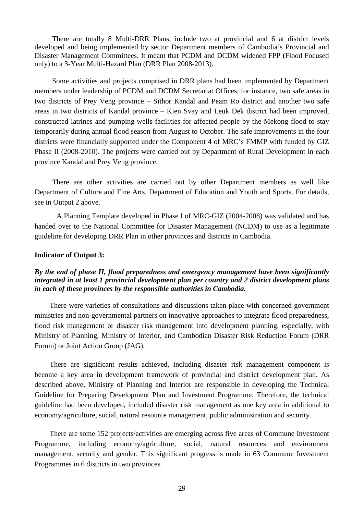There are totally 8 Multi-DRR Plans, include two at provincial and 6 at district levels developed and being implemented by sector Department members of Cambodia's Provincial and Disaster Management Committees. It meant that PCDM and DCDM widened FPP (Flood Focused only) to a 3-Year Multi-Hazard Plan (DRR Plan 2008-2013).

Some activities and projects comprised in DRR plans had been implemented by Department members under leadership of PCDM and DCDM Secretariat Offices, for instance, two safe areas in two districts of Prey Veng province – Sithor Kandal and Peam Ro district and another two safe areas in two districts of Kandal province – Kien Svay and Leuk Dek district had been improved, constructed latrines and pumping wells facilities for affected people by the Mekong flood to stay temporarily during annual flood season from August to October. The safe improvements in the four districts were financially supported under the Component 4 of MRC's FMMP with funded by GIZ Phase II (2008-2010). The projects were carried out by Department of Rural Development in each province Kandal and Prey Veng province,

There are other activities are carried out by other Department members as well like Department of Culture and Fine Arts, Department of Education and Youth and Sports. For details, see in Output 2 above.

A Planning Template developed in Phase I of MRC-GIZ (2004-2008) was validated and has handed over to the National Committee for Disaster Management (NCDM) to use as a legitimate guideline for developing DRR Plan in other provinces and districts in Cambodia.

#### **Indicator of Output 3:**

#### *By the end of phase II, flood preparedness and emergency management have been significantly integrated in at least 1 provincial development plan per country and 2 district development plans in each of these provinces by the responsible authorities in Cambodia.*

There were varieties of consultations and discussions taken place with concerned government ministries and non-governmental partners on innovative approaches to integrate flood preparedness, flood risk management or disaster risk management into development planning, especially, with Ministry of Planning, Ministry of Interior, and Cambodian Disaster Risk Reduction Forum (DRR Forum) or Joint Action Group (JAG).

There are significant results achieved, including disaster risk management component is become a key area in development framework of provincial and district development plan. As described above, Ministry of Planning and Interior are responsible in developing the Technical Guideline for Preparing Development Plan and Investment Programme. Therefore, the technical guideline had been developed, included disaster risk management as one key area in additional to economy/agriculture, social, natural resource management, public administration and security.

There are some 152 projects/activities are emerging across five areas of Commune Investment Programme, including economy/agriculture, social, natural resources and environment management, security and gender. This significant progress is made in 63 Commune Investment Programmes in 6 districts in two provinces.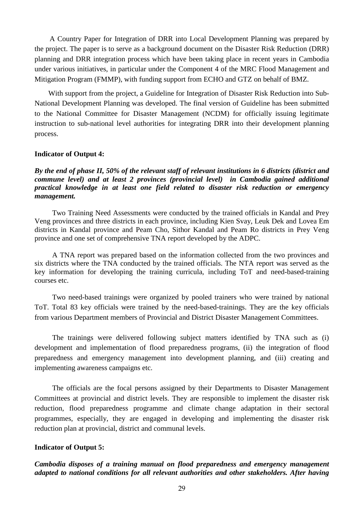A Country Paper for Integration of DRR into Local Development Planning was prepared by the project. The paper is to serve as a background document on the Disaster Risk Reduction (DRR) planning and DRR integration process which have been taking place in recent years in Cambodia under various initiatives, in particular under the Component 4 of the MRC Flood Management and Mitigation Program (FMMP), with funding support from ECHO and GTZ on behalf of BMZ.

With support from the project, a Guideline for Integration of Disaster Risk Reduction into Sub-National Development Planning was developed. The final version of Guideline has been submitted to the National Committee for Disaster Management (NCDM) for officially issuing legitimate instruction to sub-national level authorities for integrating DRR into their development planning process.

#### **Indicator of Output 4:**

*By the end of phase II, 50% of the relevant staff of relevant institutions in 6 districts (district and commune level) and at least 2 provinces (provincial level) in Cambodia gained additional practical knowledge in at least one field related to disaster risk reduction or emergency management.*

Two Training Need Assessments were conducted by the trained officials in Kandal and Prey Veng provinces and three districts in each province, including Kien Svay, Leuk Dek and Lovea Em districts in Kandal province and Peam Cho, Sithor Kandal and Peam Ro districts in Prey Veng province and one set of comprehensive TNA report developed by the ADPC.

A TNA report was prepared based on the information collected from the two provinces and six districts where the TNA conducted by the trained officials. The NTA report was served as the key information for developing the training curricula, including ToT and need-based-training courses etc.

Two need-based trainings were organized by pooled trainers who were trained by national ToT. Total 83 key officials were trained by the need-based-trainings. They are the key officials from various Department members of Provincial and District Disaster Management Committees.

The trainings were delivered following subject matters identified by TNA such as (i) development and implementation of flood preparedness programs, (ii) the integration of flood preparedness and emergency management into development planning, and (iii) creating and implementing awareness campaigns etc.

The officials are the focal persons assigned by their Departments to Disaster Management Committees at provincial and district levels. They are responsible to implement the disaster risk reduction, flood preparedness programme and climate change adaptation in their sectoral programmes, especially, they are engaged in developing and implementing the disaster risk reduction plan at provincial, district and communal levels.

#### **Indicator of Output 5:**

*Cambodia disposes of a training manual on flood preparedness and emergency management adapted to national conditions for all relevant authorities and other stakeholders. After having*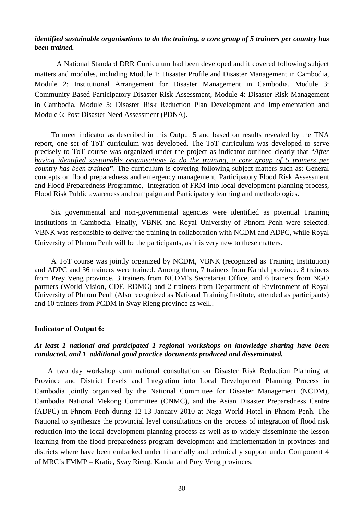#### *identified sustainable organisations to do the training, a core group of 5 trainers per country has been trained.*

A National Standard DRR Curriculum had been developed and it covered following subject matters and modules, including Module 1: Disaster Profile and Disaster Management in Cambodia, Module 2: Institutional Arrangement for Disaster Management in Cambodia, Module 3: Community Based Participatory Disaster Risk Assessment, Module 4: Disaster Risk Management in Cambodia, Module 5: Disaster Risk Reduction Plan Development and Implementation and Module 6: Post Disaster Need Assessment (PDNA).

To meet indicator as described in this Output 5 and based on results revealed by the TNA report, one set of ToT curriculum was developed. The ToT curriculum was developed to serve precisely to ToT course was organized under the project as indicator outlined clearly that "*After having identified sustainable organisations to do the training, a core group of 5 trainers per country has been trained***"**. The curriculum is covering following subject matters such as: General concepts on flood preparedness and emergency management, Participatory Flood Risk Assessment and Flood Preparedness Programme, Integration of FRM into local development planning process, Flood Risk Public awareness and campaign and Participatory learning and methodologies.

Six governmental and non-governmental agencies were identified as potential Training Institutions in Cambodia. Finally, VBNK and Royal University of Phnom Penh were selected. VBNK was responsible to deliver the training in collaboration with NCDM and ADPC, while Royal University of Phnom Penh will be the participants, as it is very new to these matters.

A ToT course was jointly organized by NCDM, VBNK (recognized as Training Institution) and ADPC and 36 trainers were trained. Among them, 7 trainers from Kandal province, 8 trainers from Prey Veng province, 3 trainers from NCDM's Secretariat Office, and 6 trainers from NGO partners (World Vision, CDF, RDMC) and 2 trainers from Department of Environment of Royal University of Phnom Penh (Also recognized as National Training Institute, attended as participants) and 10 trainers from PCDM in Svay Rieng province as well..

#### **Indicator of Output 6:**

#### *At least 1 national and participated 1 regional workshops on knowledge sharing have been conducted, and 1 additional good practice documents produced and disseminated.*

A two day workshop cum national consultation on Disaster Risk Reduction Planning at Province and District Levels and Integration into Local Development Planning Process in Cambodia jointly organized by the National Committee for Disaster Management (NCDM), Cambodia National Mekong Committee (CNMC), and the Asian Disaster Preparedness Centre (ADPC) in Phnom Penh during 12-13 January 2010 at Naga World Hotel in Phnom Penh. The National to synthesize the provincial level consultations on the process of integration of flood risk reduction into the local development planning process as well as to widely disseminate the lesson learning from the flood preparedness program development and implementation in provinces and districts where have been embarked under financially and technically support under Component 4 of MRC's FMMP – Kratie, Svay Rieng, Kandal and Prey Veng provinces.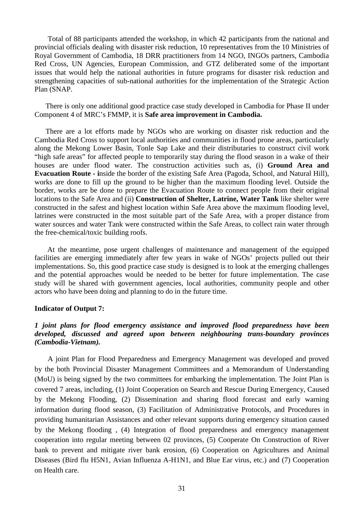Total of 88 participants attended the workshop, in which 42 participants from the national and provincial officials dealing with disaster risk reduction, 10 representatives from the 10 Ministries of Royal Government of Cambodia, 18 DRR practitioners from 14 NGO, INGOs partners, Cambodia Red Cross, UN Agencies, European Commission, and GTZ deliberated some of the important issues that would help the national authorities in future programs for disaster risk reduction and strengthening capacities of sub-national authorities for the implementation of the Strategic Action Plan (SNAP.

There is only one additional good practice case study developed in Cambodia for Phase II under Component 4 of MRC's FMMP, it is **Safe area improvement in Cambodia.** 

There are a lot efforts made by NGOs who are working on disaster risk reduction and the Cambodia Red Cross to support local authorities and communities in flood prone areas, particularly along the Mekong Lower Basin, Tonle Sap Lake and their distributaries to construct civil work "high safe areas" for affected people to temporarily stay during the flood season in a wake of their houses are under flood water. The construction activities such as, (i) **Ground Area and Evacuation Route - i**nside the border of the existing Safe Area (Pagoda, School, and Natural Hill), works are done to fill up the ground to be higher than the maximum flooding level. Outside the border, works are be done to prepare the Evacuation Route to connect people from their original locations to the Safe Area and (ii) **Construction of Shelter, Latrine, Water Tank** like shelter were constructed in the safest and highest location within Safe Area above the maximum flooding level, latrines were constructed in the most suitable part of the Safe Area, with a proper distance from water sources and water Tank were constructed within the Safe Areas, to collect rain water through the free-chemical/toxic building roofs.

At the meantime, pose urgent challenges of maintenance and management of the equipped facilities are emerging immediately after few years in wake of NGOs' projects pulled out their implementations. So, this good practice case study is designed is to look at the emerging challenges and the potential approaches would be needed to be better for future implementation. The case study will be shared with government agencies, local authorities, community people and other actors who have been doing and planning to do in the future time.

#### **Indicator of Output 7:**

# *1 joint plans for flood emergency assistance and improved flood preparedness have been developed, discussed and agreed upon between neighbouring trans-boundary provinces (Cambodia-Vietnam).*

A joint Plan for Flood Preparedness and Emergency Management was developed and proved by the both Provincial Disaster Management Committees and a Memorandum of Understanding (MoU) is being signed by the two committees for embarking the implementation. The Joint Plan is covered 7 areas, including, (1) Joint Cooperation on Search and Rescue During Emergency, Caused by the Mekong Flooding, (2) Dissemination and sharing flood forecast and early warning information during flood season, (3) Facilitation of Administrative Protocols, and Procedures in providing humanitarian Assistances and other relevant supports during emergency situation caused by the Mekong flooding , (4) Integration of flood preparedness and emergency management cooperation into regular meeting between 02 provinces, (5) Cooperate On Construction of River bank to prevent and mitigate river bank erosion, (6) Cooperation on Agricultures and Animal Diseases (Bird flu H5N1, Avian Influenza A-H1N1, and Blue Ear virus, etc.) and (7) Cooperation on Health care.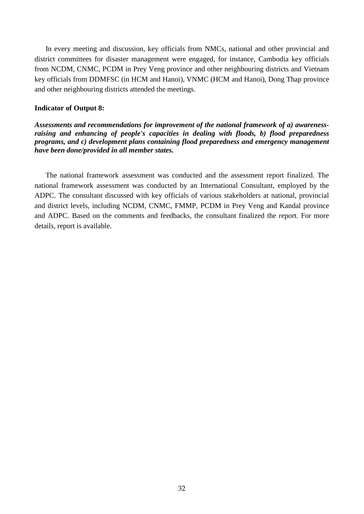In every meeting and discussion, key officials from NMCs, national and other provincial and district committees for disaster management were engaged, for instance, Cambodia key officials from NCDM, CNMC, PCDM in Prey Veng province and other neighbouring districts and Vietnam key officials from DDMFSC (in HCM and Hanoi), VNMC (HCM and Hanoi), Dong Thap province and other neighbouring districts attended the meetings.

#### **Indicator of Output 8:**

*Assessments and recommendations for improvement of the national framework of a) awarenessraising and enhancing of people's capacities in dealing with floods, b) flood preparedness programs, and c) development plans containing flood preparedness and emergency management have been done/provided in all member states.*

The national framework assessment was conducted and the assessment report finalized. The national framework assessment was conducted by an International Consultant, employed by the ADPC. The consultant discussed with key officials of various stakeholders at national, provincial and district levels, including NCDM, CNMC, FMMP, PCDM in Prey Veng and Kandal province and ADPC. Based on the comments and feedbacks, the consultant finalized the report. For more details, report is available.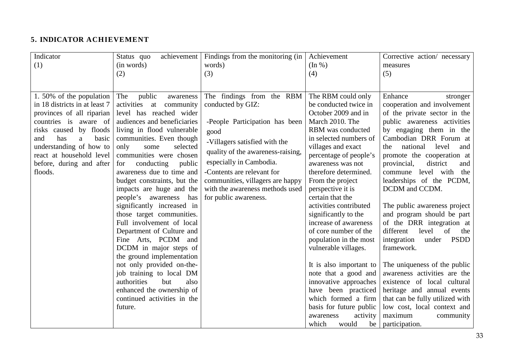# **5. INDICATOR ACHIEVEMENT**

| Indicator                     | Status quo                    | achievement   Findings from the monitoring (in | Achievement             | Corrective action/ necessary        |
|-------------------------------|-------------------------------|------------------------------------------------|-------------------------|-------------------------------------|
| (1)                           | (in words)                    | words)                                         | $(\ln \frac{9}{6})$     | measures                            |
|                               | (2)                           | (3)                                            | (4)                     | (5)                                 |
|                               |                               |                                                |                         |                                     |
|                               |                               |                                                |                         |                                     |
| 1.50% of the population       | The<br>public<br>awareness    | The findings from the RBM                      | The RBM could only      | Enhance<br>stronger                 |
| in 18 districts in at least 7 | activities<br>at<br>community | conducted by GIZ:                              | be conducted twice in   | cooperation and involvement         |
| provinces of all riparian     | level has reached wider       |                                                | October 2009 and in     | of the private sector in the        |
| countries is aware of         | audiences and beneficiaries   | -People Participation has been                 | March 2010. The         | public awareness activities         |
| risks caused by floods        | living in flood vulnerable    | good                                           | RBM was conducted       | by engaging them in the             |
| has<br>basic<br>and<br>a      | communities. Even though      | -Villagers satisfied with the                  | in selected numbers of  | Cambodian DRR Forum at              |
| understanding of how to       | only<br>selected<br>some      | quality of the awareness-raising,              | villages and exact      | national<br>level<br>and<br>the     |
| react at household level      | communities were chosen       |                                                | percentage of people's  | promote the cooperation at          |
| before, during and after      | conducting<br>public<br>for   | especially in Cambodia.                        | awareness was not       | provincial,<br>district<br>and      |
| floods.                       | awareness due to time and     | -Contents are relevant for                     | therefore determined.   | commune level with the              |
|                               | budget constraints, but the   | communities, villagers are happy               | From the project        | leaderships of the PCDM,            |
|                               | impacts are huge and the      | with the awareness methods used                | perspective it is       | DCDM and CCDM.                      |
|                               | people's awareness<br>has     | for public awareness.                          | certain that the        |                                     |
|                               | significantly increased in    |                                                | activities contributed  | The public awareness project        |
|                               | those target communities.     |                                                | significantly to the    | and program should be part          |
|                               | Full involvement of local     |                                                | increase of awareness   | of the DRR integration at           |
|                               | Department of Culture and     |                                                | of core number of the   | different<br>of<br>level<br>the     |
|                               | Fine Arts, PCDM and           |                                                | population in the most  | <b>PSDD</b><br>integration<br>under |
|                               | DCDM in major steps of        |                                                | vulnerable villages.    | framework.                          |
|                               | the ground implementation     |                                                |                         |                                     |
|                               | not only provided on-the-     |                                                | It is also important to | The uniqueness of the public        |
|                               | job training to local DM      |                                                | note that a good and    | awareness activities are the        |
|                               | authorities<br>but<br>also    |                                                | innovative approaches   | existence of local cultural         |
|                               | enhanced the ownership of     |                                                | have been practiced     | heritage and annual events          |
|                               | continued activities in the   |                                                | which formed a firm     | that can be fully utilized with     |
|                               | future.                       |                                                | basis for future public | low cost, local context and         |
|                               |                               |                                                | activity<br>awareness   | maximum<br>community                |
|                               |                               |                                                | which<br>would<br>be    | participation.                      |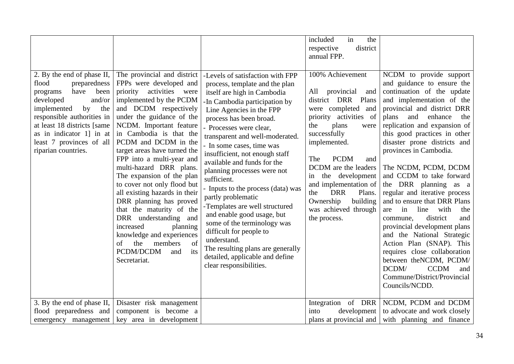| 2. By the end of phase II,<br>preparedness<br>flood<br>have<br>been<br>programs<br>and/or<br>developed<br>by<br>implemented<br>the<br>responsible authorities in<br>at least 18 districts [same<br>as in indicator 1] in at<br>least 7 provinces of all<br>riparian countries. | The provincial and district<br>FPPs were developed and<br>priority activities were<br>implemented by the PCDM<br>and DCDM respectively<br>under the guidance of the<br>NCDM. Important feature<br>in Cambodia is that the<br>PCDM and DCDM in the<br>target areas have turned the<br>FPP into a multi-year and<br>multi-hazard DRR plans.<br>The expansion of the plan<br>to cover not only flood but<br>all existing hazards in their<br>DRR planning has proved<br>that the maturity of the<br>DRR understanding and<br>increased<br>planning<br>knowledge and experiences<br>of<br>of<br>the<br>members<br>PCDM/DCDM<br>its<br>and<br>Secretariat. | -Levels of satisfaction with FPP<br>process, template and the plan<br>itself are high in Cambodia<br>-In Cambodia participation by<br>Line Agencies in the FPP<br>process has been broad.<br>- Processes were clear,<br>transparent and well-moderated.<br>- In some cases, time was<br>insufficient, not enough staff<br>available and funds for the<br>planning processes were not<br>sufficient.<br>- Inputs to the process (data) was<br>partly problematic<br>-Templates are well structured<br>and enable good usage, but<br>some of the terminology was<br>difficult for people to<br>understand.<br>The resulting plans are generally<br>detailed, applicable and define<br>clear responsibilities. | in<br>included<br>the<br>district<br>respective<br>annual FPP.<br>100% Achievement<br>All<br>provincial<br>and<br>district DRR Plans<br>were completed<br>and<br>priority activities of<br>plans<br>the<br>were<br>successfully<br>implemented.<br><b>PCDM</b><br>The<br>and<br>DCDM are the leaders<br>the development<br>in<br>and implementation of<br><b>DRR</b><br>Plans.<br>the<br>Ownership<br>building<br>was achieved through<br>the process. | NCDM to provide support<br>and guidance to ensure the<br>continuation of the update<br>and implementation of the<br>provincial and district DRR<br>plans<br>and<br>enhance<br>the<br>replication and expansion of<br>this good practices in other<br>disaster prone districts and<br>provinces in Cambodia.<br>The NCDM, PCDM, DCDM<br>and CCDM to take forward<br>the DRR planning as a<br>regular and iterative process<br>and to ensure that DRR Plans<br>line<br>with<br>in<br>are<br>the<br>district<br>and<br>commune.<br>provincial development plans<br>and the National Strategic<br>Action Plan (SNAP). This<br>requires close collaboration<br>between the NCDM, PCDM/<br>DCDM/<br><b>CCDM</b><br>and<br>Commune/District/Provincial<br>Councils/NCDD. |
|--------------------------------------------------------------------------------------------------------------------------------------------------------------------------------------------------------------------------------------------------------------------------------|-------------------------------------------------------------------------------------------------------------------------------------------------------------------------------------------------------------------------------------------------------------------------------------------------------------------------------------------------------------------------------------------------------------------------------------------------------------------------------------------------------------------------------------------------------------------------------------------------------------------------------------------------------|-------------------------------------------------------------------------------------------------------------------------------------------------------------------------------------------------------------------------------------------------------------------------------------------------------------------------------------------------------------------------------------------------------------------------------------------------------------------------------------------------------------------------------------------------------------------------------------------------------------------------------------------------------------------------------------------------------------|--------------------------------------------------------------------------------------------------------------------------------------------------------------------------------------------------------------------------------------------------------------------------------------------------------------------------------------------------------------------------------------------------------------------------------------------------------|-------------------------------------------------------------------------------------------------------------------------------------------------------------------------------------------------------------------------------------------------------------------------------------------------------------------------------------------------------------------------------------------------------------------------------------------------------------------------------------------------------------------------------------------------------------------------------------------------------------------------------------------------------------------------------------------------------------------------------------------------------------------|
| 3. By the end of phase II,                                                                                                                                                                                                                                                     | Disaster risk management                                                                                                                                                                                                                                                                                                                                                                                                                                                                                                                                                                                                                              |                                                                                                                                                                                                                                                                                                                                                                                                                                                                                                                                                                                                                                                                                                             | Integration of DRR                                                                                                                                                                                                                                                                                                                                                                                                                                     | NCDM, PCDM and DCDM                                                                                                                                                                                                                                                                                                                                                                                                                                                                                                                                                                                                                                                                                                                                               |
| flood preparedness and                                                                                                                                                                                                                                                         | component is become a                                                                                                                                                                                                                                                                                                                                                                                                                                                                                                                                                                                                                                 |                                                                                                                                                                                                                                                                                                                                                                                                                                                                                                                                                                                                                                                                                                             | development<br>into                                                                                                                                                                                                                                                                                                                                                                                                                                    | to advocate and work closely                                                                                                                                                                                                                                                                                                                                                                                                                                                                                                                                                                                                                                                                                                                                      |
| emergency management                                                                                                                                                                                                                                                           | key area in development                                                                                                                                                                                                                                                                                                                                                                                                                                                                                                                                                                                                                               |                                                                                                                                                                                                                                                                                                                                                                                                                                                                                                                                                                                                                                                                                                             | plans at provincial and                                                                                                                                                                                                                                                                                                                                                                                                                                | with planning and finance                                                                                                                                                                                                                                                                                                                                                                                                                                                                                                                                                                                                                                                                                                                                         |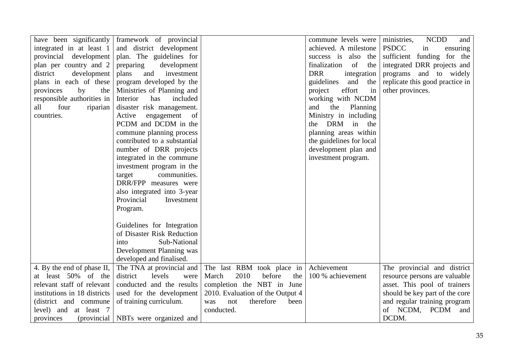| have been significantly      | framework of provincial               |                                  | commune levels were         | <b>NCDD</b><br>ministries,<br>and |
|------------------------------|---------------------------------------|----------------------------------|-----------------------------|-----------------------------------|
| integrated in at least 1     | and district development              |                                  | achieved. A milestone       | <b>PSDCC</b><br>in<br>ensuring    |
| provincial development       | plan. The guidelines for              |                                  | success is also the         | sufficient funding for the        |
| plan per country and 2       | preparing<br>development              |                                  | finalization<br>of<br>the   | integrated DRR projects and       |
| district<br>development      | plans<br>and<br>investment            |                                  | <b>DRR</b><br>integration   | programs and to widely            |
| plans in each of these       | program developed by the              |                                  | guidelines<br>and<br>the    | replicate this good practice in   |
| provinces<br>by<br>the       | Ministries of Planning and            |                                  | effort<br>project<br>in     | other provinces.                  |
| responsible authorities in   | Interior<br>included<br>has           |                                  | working with NCDM           |                                   |
| all<br>four<br>riparian      | disaster risk management.             |                                  | and<br>the<br>Planning      |                                   |
| countries.                   | engagement of<br>Active               |                                  | Ministry in including       |                                   |
|                              | PCDM and DCDM in the                  |                                  | <b>DRM</b><br>in the<br>the |                                   |
|                              | commune planning process              |                                  | planning areas within       |                                   |
|                              | contributed to a substantial          |                                  | the guidelines for local    |                                   |
|                              | number of DRR projects                |                                  | development plan and        |                                   |
|                              | integrated in the commune             |                                  | investment program.         |                                   |
|                              | investment program in the             |                                  |                             |                                   |
|                              | communities.<br>target                |                                  |                             |                                   |
|                              | DRR/FPP measures were                 |                                  |                             |                                   |
|                              | also integrated into 3-year           |                                  |                             |                                   |
|                              | Provincial<br>Investment              |                                  |                             |                                   |
|                              | Program.                              |                                  |                             |                                   |
|                              |                                       |                                  |                             |                                   |
|                              | Guidelines for Integration            |                                  |                             |                                   |
|                              | of Disaster Risk Reduction            |                                  |                             |                                   |
|                              | Sub-National<br>into                  |                                  |                             |                                   |
|                              | Development Planning was              |                                  |                             |                                   |
|                              | developed and finalised.              |                                  |                             |                                   |
| 4. By the end of phase II,   | The TNA at provincial and             | The last RBM took place in       | Achievement                 | The provincial and district       |
| at least 50% of the          | levels<br>district<br>were            | 2010<br>before<br>March<br>the   | 100 % achievement           | resource persons are valuable     |
| relevant staff of relevant   | conducted and the results             | completion the NBT in June       |                             | asset. This pool of trainers      |
| institutions in 18 districts | used for the development              | 2010. Evaluation of the Output 4 |                             | should be key part of the core    |
| (district and commune        | of training curriculum.               | therefore<br>been<br>was<br>not  |                             | and regular training program      |
| level) and at least 7        |                                       | conducted.                       |                             | of NCDM, PCDM<br>and              |
| provinces                    | (provincial   NBTs were organized and |                                  |                             | DCDM.                             |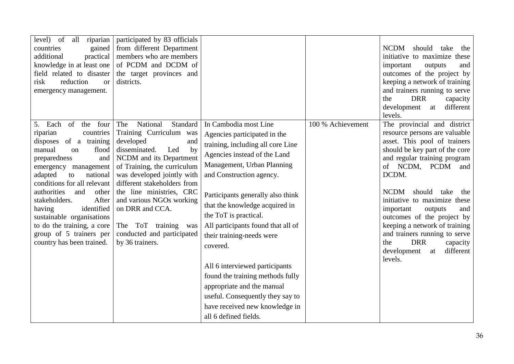| level) of<br>all<br>riparian<br>gained<br>countries<br>additional<br>practical<br>knowledge in at least one<br>field related to disaster<br>risk<br>reduction<br>$\alpha$<br>emergency management.                                                                                                                                                                                                                      | participated by 83 officials<br>from different Department<br>members who are members<br>of PCDM and DCDM of<br>the target provinces and<br>districts.                                                                                                                                                                                                                                  |                                                                                                                                                                                                                                                                                                                                                                                                                                                                                                                                                                        |                   | NCDM<br>should take<br>the<br>initiative to maximize these<br>and<br>important<br>outputs<br>outcomes of the project by<br>keeping a network of training<br>and trainers running to serve<br><b>DRR</b><br>the<br>capacity<br>different<br>development<br>at<br>levels.                                                                                                                                                                                                              |
|-------------------------------------------------------------------------------------------------------------------------------------------------------------------------------------------------------------------------------------------------------------------------------------------------------------------------------------------------------------------------------------------------------------------------|----------------------------------------------------------------------------------------------------------------------------------------------------------------------------------------------------------------------------------------------------------------------------------------------------------------------------------------------------------------------------------------|------------------------------------------------------------------------------------------------------------------------------------------------------------------------------------------------------------------------------------------------------------------------------------------------------------------------------------------------------------------------------------------------------------------------------------------------------------------------------------------------------------------------------------------------------------------------|-------------------|--------------------------------------------------------------------------------------------------------------------------------------------------------------------------------------------------------------------------------------------------------------------------------------------------------------------------------------------------------------------------------------------------------------------------------------------------------------------------------------|
| Each of<br>four<br>the<br>5.<br>riparian<br>countries<br>disposes of a training<br>manual<br>flood<br>on<br>preparedness<br>and<br>emergency management<br>adapted<br>national<br>to<br>conditions for all relevant<br>authorities<br>and<br>other<br>After<br>stakeholders.<br>identified<br>having<br>sustainable organisations<br>to do the training, a core<br>group of 5 trainers per<br>country has been trained. | National<br>Standard<br>The<br>Training Curriculum was<br>developed<br>and<br>disseminated.<br>Led<br>by<br>NCDM and its Department<br>of Training, the curriculum<br>was developed jointly with<br>different stakeholders from<br>the line ministries, CRC<br>and various NGOs working<br>on DRR and CCA.<br>The ToT training<br>was<br>conducted and participated<br>by 36 trainers. | In Cambodia most Line<br>Agencies participated in the<br>training, including all core Line<br>Agencies instead of the Land<br>Management, Urban Planning<br>and Construction agency.<br>Participants generally also think<br>that the knowledge acquired in<br>the ToT is practical.<br>All participants found that all of<br>their training-needs were<br>covered.<br>All 6 interviewed participants<br>found the training methods fully<br>appropriate and the manual<br>useful. Consequently they say to<br>have received new knowledge in<br>all 6 defined fields. | 100 % Achievement | The provincial and district<br>resource persons are valuable<br>asset. This pool of trainers<br>should be key part of the core<br>and regular training program<br>of NCDM, PCDM<br>and<br>DCDM.<br><b>NCDM</b><br>should<br>take<br>the<br>initiative to maximize these<br>important<br>outputs<br>and<br>outcomes of the project by<br>keeping a network of training<br>and trainers running to serve<br><b>DRR</b><br>the<br>capacity<br>different<br>development<br>at<br>levels. |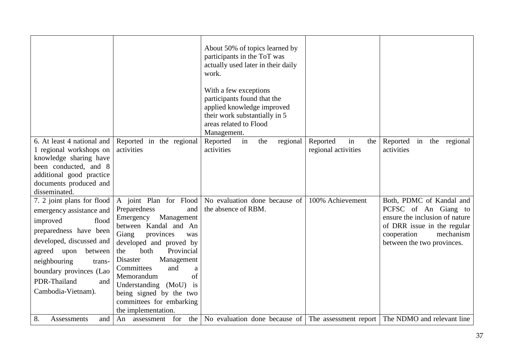|                            |                             | About 50% of topics learned by<br>participants in the ToT was<br>actually used later in their daily<br>work.<br>With a few exceptions<br>participants found that the<br>applied knowledge improved<br>their work substantially in 5<br>areas related to Flood<br>Management. |                       |                                |
|----------------------------|-----------------------------|------------------------------------------------------------------------------------------------------------------------------------------------------------------------------------------------------------------------------------------------------------------------------|-----------------------|--------------------------------|
| 6. At least 4 national and | Reported in the regional    | regional<br>Reported<br>in<br>the                                                                                                                                                                                                                                            | in<br>Reported<br>the | Reported in the regional       |
| 1 regional workshops on    | activities                  | activities                                                                                                                                                                                                                                                                   | regional activities   | activities                     |
| knowledge sharing have     |                             |                                                                                                                                                                                                                                                                              |                       |                                |
| been conducted, and 8      |                             |                                                                                                                                                                                                                                                                              |                       |                                |
| additional good practice   |                             |                                                                                                                                                                                                                                                                              |                       |                                |
| documents produced and     |                             |                                                                                                                                                                                                                                                                              |                       |                                |
| disseminated.              |                             |                                                                                                                                                                                                                                                                              |                       |                                |
| 7. 2 joint plans for flood | A joint Plan for Flood      | No evaluation done because of                                                                                                                                                                                                                                                | 100% Achievement      | Both, PDMC of Kandal and       |
| emergency assistance and   | Preparedness<br>and         | the absence of RBM.                                                                                                                                                                                                                                                          |                       | PCFSC of An Giang to           |
| flood                      | Management<br>Emergency     |                                                                                                                                                                                                                                                                              |                       | ensure the inclusion of nature |
| improved                   | between Kandal and An       |                                                                                                                                                                                                                                                                              |                       | of DRR issue in the regular    |
| preparedness have been     | Giang<br>provinces<br>was   |                                                                                                                                                                                                                                                                              |                       | mechanism<br>cooperation       |
| developed, discussed and   | developed and proved by     |                                                                                                                                                                                                                                                                              |                       | between the two provinces.     |
| agreed upon<br>between     | both<br>Provincial<br>the   |                                                                                                                                                                                                                                                                              |                       |                                |
| neighbouring<br>trans-     | Disaster<br>Management      |                                                                                                                                                                                                                                                                              |                       |                                |
| boundary provinces (Lao    | Committees<br>and<br>a      |                                                                                                                                                                                                                                                                              |                       |                                |
| PDR-Thailand<br>and        | of<br>Memorandum            |                                                                                                                                                                                                                                                                              |                       |                                |
| Cambodia-Vietnam).         | Understanding (MoU)<br>is   |                                                                                                                                                                                                                                                                              |                       |                                |
|                            | being signed by the two     |                                                                                                                                                                                                                                                                              |                       |                                |
|                            | committees for embarking    |                                                                                                                                                                                                                                                                              |                       |                                |
|                            | the implementation.         |                                                                                                                                                                                                                                                                              |                       |                                |
| 8.<br>Assessments<br>and   | assessment for<br>the<br>An | No evaluation done because of The assessment report The NDMO and relevant line                                                                                                                                                                                               |                       |                                |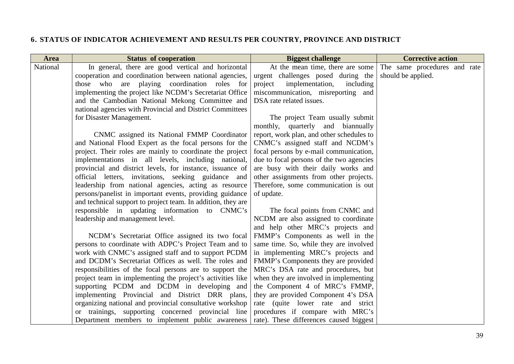# **6. STATUS OF INDICATOR ACHIEVEMENT AND RESULTS PER COUNTRY, PROVINCE AND DISTRICT**

| <b>Area</b> | <b>Status of cooperation</b>                                 | <b>Biggest challenge</b>                      | <b>Corrective action</b>     |
|-------------|--------------------------------------------------------------|-----------------------------------------------|------------------------------|
| National    | In general, there are good vertical and horizontal           | $\overline{At}$ the mean time, there are some | The same procedures and rate |
|             | cooperation and coordination between national agencies,      | urgent challenges posed during the            | should be applied.           |
|             | those who are playing coordination roles for                 | implementation,<br>project<br>including       |                              |
|             | implementing the project like NCDM's Secretariat Office      | miscommunication, misreporting and            |                              |
|             | and the Cambodian National Mekong Committee and              | DSA rate related issues.                      |                              |
|             | national agencies with Provincial and District Committees    |                                               |                              |
|             | for Disaster Management.                                     | The project Team usually submit               |                              |
|             |                                                              | monthly, quarterly and biannually             |                              |
|             | CNMC assigned its National FMMP Coordinator                  | report, work plan, and other schedules to     |                              |
|             | and National Flood Expert as the focal persons for the       | CNMC's assigned staff and NCDM's              |                              |
|             | project. Their roles are mainly to coordinate the project    | focal persons by e-mail communication,        |                              |
|             | implementations in all levels, including national,           | due to focal persons of the two agencies      |                              |
|             | provincial and district levels, for instance, issuance of    | are busy with their daily works and           |                              |
|             | official letters, invitations, seeking guidance and          | other assignments from other projects.        |                              |
|             | leadership from national agencies, acting as resource        | Therefore, some communication is out          |                              |
|             | persons/panelist in important events, providing guidance     | of update.                                    |                              |
|             | and technical support to project team. In addition, they are |                                               |                              |
|             | responsible in updating information to CNMC's                | The focal points from CNMC and                |                              |
|             | leadership and management level.                             | NCDM are also assigned to coordinate          |                              |
|             |                                                              | and help other MRC's projects and             |                              |
|             | NCDM's Secretariat Office assigned its two focal             | FMMP's Components as well in the              |                              |
|             | persons to coordinate with ADPC's Project Team and to        | same time. So, while they are involved        |                              |
|             | work with CNMC's assigned staff and to support PCDM          | in implementing MRC's projects and            |                              |
|             | and DCDM's Secretariat Offices as well. The roles and        | FMMP's Components they are provided           |                              |
|             | responsibilities of the focal persons are to support the     | MRC's DSA rate and procedures, but            |                              |
|             | project team in implementing the project's activities like   | when they are involved in implementing        |                              |
|             | supporting PCDM and DCDM in developing and                   | the Component 4 of MRC's FMMP,                |                              |
|             | implementing Provincial and District DRR plans,              | they are provided Component 4's DSA           |                              |
|             | organizing national and provincial consultative workshop     | rate (quite lower rate and strict             |                              |
|             | or trainings, supporting concerned provincial line           | procedures if compare with MRC's              |                              |
|             | Department members to implement public awareness             | rate). These differences caused biggest       |                              |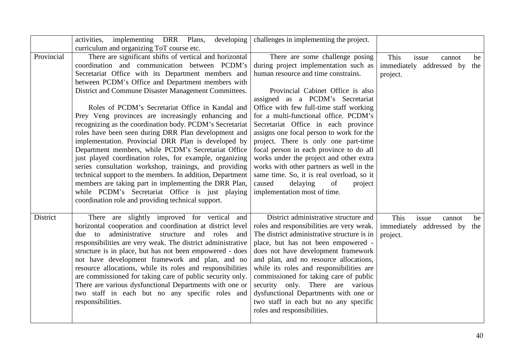|            | activities, implementing DRR Plans,<br>developing<br>curriculum and organizing ToT course etc.                                                                                                                                                                                                                                                                                                                                                                                                                                                                                                                                                                                                                                                                                                                                                                                                                                                                              | challenges in implementing the project.                                                                                                                                                                                                                                                                                                                                                                                                                                                                                                                                                                                                                       |                                                                              |
|------------|-----------------------------------------------------------------------------------------------------------------------------------------------------------------------------------------------------------------------------------------------------------------------------------------------------------------------------------------------------------------------------------------------------------------------------------------------------------------------------------------------------------------------------------------------------------------------------------------------------------------------------------------------------------------------------------------------------------------------------------------------------------------------------------------------------------------------------------------------------------------------------------------------------------------------------------------------------------------------------|---------------------------------------------------------------------------------------------------------------------------------------------------------------------------------------------------------------------------------------------------------------------------------------------------------------------------------------------------------------------------------------------------------------------------------------------------------------------------------------------------------------------------------------------------------------------------------------------------------------------------------------------------------------|------------------------------------------------------------------------------|
| Provincial | There are significant shifts of vertical and horizontal<br>coordination and communication between PCDM's<br>Secretariat Office with its Department members and<br>between PCDM's Office and Department members with<br>District and Commune Disaster Management Committees.<br>Roles of PCDM's Secretariat Office in Kandal and<br>Prey Veng provinces are increasingly enhancing and<br>recognizing as the coordination body. PCDM's Secretariat<br>roles have been seen during DRR Plan development and<br>implementation. Provincial DRR Plan is developed by<br>Department members, while PCDM's Secretariat Office<br>just played coordination roles, for example, organizing<br>series consultation workshop, trainings, and providing<br>technical support to the members. In addition, Department<br>members are taking part in implementing the DRR Plan,<br>while PCDM's Secretariat Office is just playing<br>coordination role and providing technical support. | There are some challenge posing<br>during project implementation such as<br>human resource and time constrains.<br>Provincial Cabinet Office is also<br>assigned as a PCDM's Secretariat<br>Office with few full-time staff working<br>for a multi-functional office. PCDM's<br>Secretariat Office in each province<br>assigns one focal person to work for the<br>project. There is only one part-time<br>focal person in each province to do all<br>works under the project and other extra<br>works with other partners as well in the<br>same time. So, it is real overload, so it<br>of<br>caused<br>delaying<br>project<br>implementation most of time. | This<br>issue<br>be<br>cannot<br>immediately addressed by<br>the<br>project. |
| District   | There are slightly improved for vertical and<br>horizontal cooperation and coordination at district level<br>administrative<br>and roles<br>due to<br>structure<br>and<br>responsibilities are very weak. The district administrative<br>structure is in place, but has not been empowered - does<br>not have development framework and plan, and no<br>resource allocations, while its roles and responsibilities<br>are commissioned for taking care of public security only.<br>There are various dysfunctional Departments with one or<br>two staff in each but no any specific roles and<br>responsibilities.                                                                                                                                                                                                                                                                                                                                                          | District administrative structure and<br>roles and responsibilities are very weak.<br>The district administrative structure is in<br>place, but has not been empowered -<br>does not have development framework<br>and plan, and no resource allocations,<br>while its roles and responsibilities are<br>commissioned for taking care of public<br>security only. There are various<br>dysfunctional Departments with one or<br>two staff in each but no any specific<br>roles and responsibilities.                                                                                                                                                          | This<br>issue<br>cannot<br>be<br>immediately addressed by<br>the<br>project. |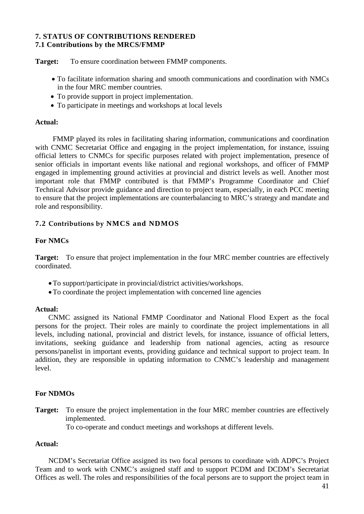#### **7. STATUS OF CONTRIBUTIONS RENDERED 7.1 Contributions by the MRCS/FMMP**

**Target:** To ensure coordination between FMMP components.

- To facilitate information sharing and smooth communications and coordination with NMCs in the four MRC member countries.
- To provide support in project implementation.
- To participate in meetings and workshops at local levels

# **Actual:**

FMMP played its roles in facilitating sharing information, communications and coordination with CNMC Secretariat Office and engaging in the project implementation, for instance, issuing official letters to CNMCs for specific purposes related with project implementation, presence of senior officials in important events like national and regional workshops, and officer of FMMP engaged in implementing ground activities at provincial and district levels as well. Another most important role that FMMP contributed is that FMMP's Programme Coordinator and Chief Technical Advisor provide guidance and direction to project team, especially, in each PCC meeting to ensure that the project implementations are counterbalancing to MRC's strategy and mandate and role and responsibility.

# **7.2 Contributions by NMCS and NDMOS**

# **For NMCs**

**Target:** To ensure that project implementation in the four MRC member countries are effectively coordinated.

- •To support/participate in provincial/district activities/workshops.
- •To coordinate the project implementation with concerned line agencies

# **Actual:**

CNMC assigned its National FMMP Coordinator and National Flood Expert as the focal persons for the project. Their roles are mainly to coordinate the project implementations in all levels, including national, provincial and district levels, for instance, issuance of official letters, invitations, seeking guidance and leadership from national agencies, acting as resource persons/panelist in important events, providing guidance and technical support to project team. In addition, they are responsible in updating information to CNMC's leadership and management level.

# **For NDMOs**

**Target:** To ensure the project implementation in the four MRC member countries are effectively implemented.

To co-operate and conduct meetings and workshops at different levels.

# **Actual:**

NCDM's Secretariat Office assigned its two focal persons to coordinate with ADPC's Project Team and to work with CNMC's assigned staff and to support PCDM and DCDM's Secretariat Offices as well. The roles and responsibilities of the focal persons are to support the project team in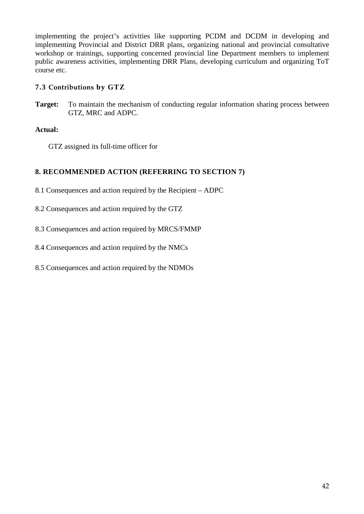implementing the project's activities like supporting PCDM and DCDM in developing and implementing Provincial and District DRR plans, organizing national and provincial consultative workshop or trainings, supporting concerned provincial line Department members to implement public awareness activities, implementing DRR Plans, developing curriculum and organizing ToT course etc.

# **7.3 Contributions by GTZ**

**Target:** To maintain the mechanism of conducting regular information sharing process between GTZ, MRC and ADPC.

# **Actual:**

GTZ assigned its full-time officer for

# **8. RECOMMENDED ACTION (REFERRING TO SECTION 7)**

8.1 Consequences and action required by the Recipient – ADPC

- 8.2 Consequences and action required by the GTZ
- 8.3 Consequences and action required by MRCS/FMMP
- 8.4 Consequences and action required by the NMCs

8.5 Consequences and action required by the NDMOs